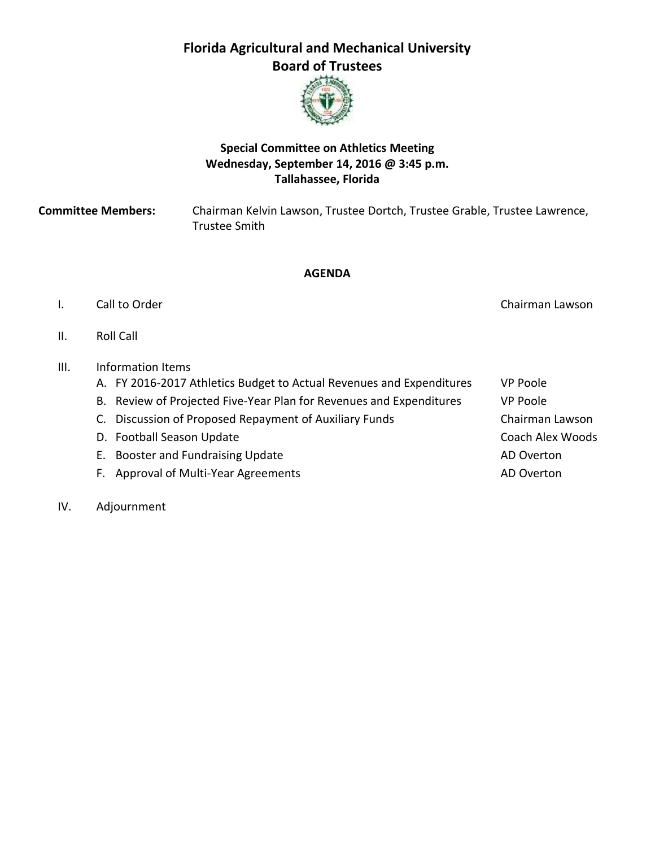# **Florida Agricultural and Mechanical University Board of Trustees**



# **Special Committee on Athletics Meeting Wednesday, September 14, 2016 @ 3:45 p.m. Tallahassee, Florida**

**Committee Members:** Chairman Kelvin Lawson, Trustee Dortch, Trustee Grable, Trustee Lawrence, Trustee Smith

# **AGENDA**

# I. Call to Order Chairman Lawson Chairman Lawson Chairman Lawson

II. Roll Call

# III. Information Items

- A. FY 2016-2017 Athletics Budget to Actual Revenues and Expenditures VP Poole
- B. Review of Projected Five-Year Plan for Revenues and Expenditures VP Poole
- C. Discussion of Proposed Repayment of Auxiliary Funds Chairman Lawson
- D. Football Season Update Coach Alex Woods
- E. Booster and Fundraising Update AD Overton
- F. Approval of Multi-Year Agreements **AD** Overton
- IV. Adjournment
- 
-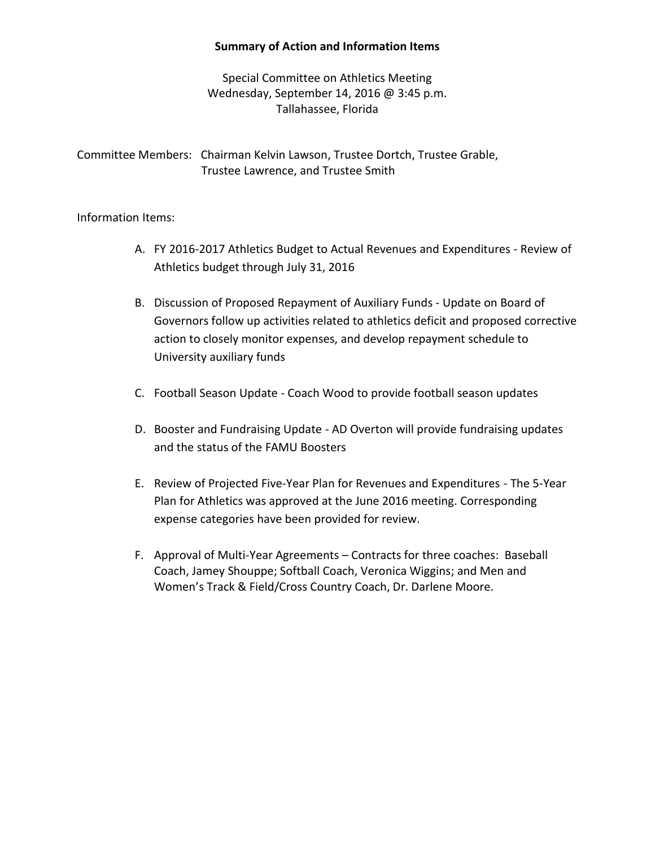# **Summary of Action and Information Items**

Special Committee on Athletics Meeting Wednesday, September 14, 2016 @ 3:45 p.m. Tallahassee, Florida

Committee Members:Chairman Kelvin Lawson, Trustee Dortch, Trustee Grable, Trustee Lawrence, and Trustee Smith

Information Items:

- A. FY 2016-2017 Athletics Budget to Actual Revenues and Expenditures Review of Athletics budget through July 31, 2016
- B. Discussion of Proposed Repayment of Auxiliary Funds Update on Board of Governors follow up activities related to athletics deficit and proposed corrective action to closely monitor expenses, and develop repayment schedule to University auxiliary funds
- C. Football Season Update Coach Wood to provide football season updates
- D. Booster and Fundraising Update AD Overton will provide fundraising updates and the status of the FAMU Boosters
- E. Review of Projected Five-Year Plan for Revenues and Expenditures The 5-Year Plan for Athletics was approved at the June 2016 meeting. Corresponding expense categories have been provided for review.
- F. Approval of Multi-Year Agreements Contracts for three coaches: Baseball Coach, Jamey Shouppe; Softball Coach, Veronica Wiggins; and Men and Women's Track & Field/Cross Country Coach, Dr. Darlene Moore.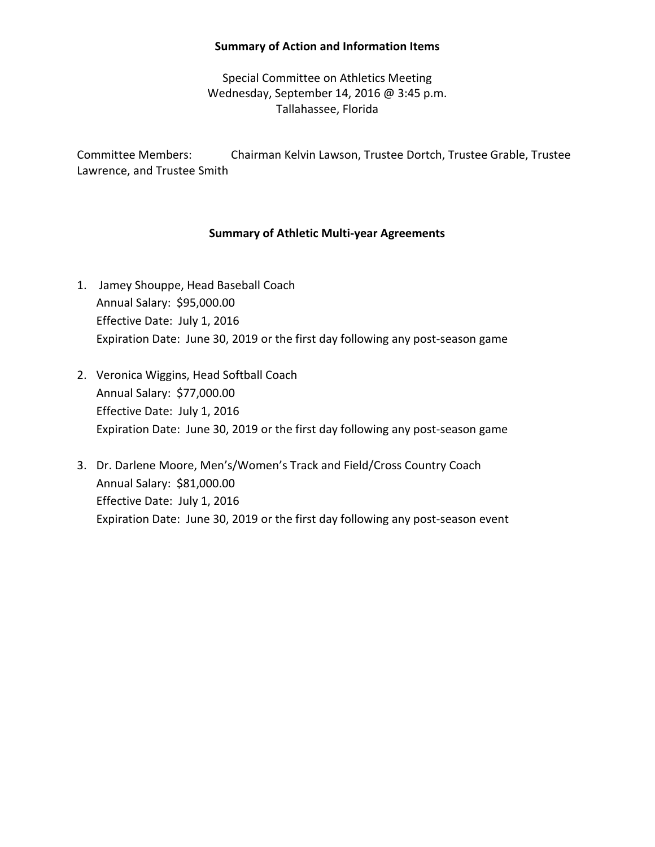#### **Summary of Action and Information Items**

Special Committee on Athletics Meeting Wednesday, September 14, 2016 @ 3:45 p.m. Tallahassee, Florida

Committee Members:Chairman Kelvin Lawson, Trustee Dortch, Trustee Grable, Trustee Lawrence, and Trustee Smith

# **Summary of Athletic Multi-year Agreements**

- 1. Jamey Shouppe, Head Baseball Coach Annual Salary: \$95,000.00 Effective Date: July 1, 2016 Expiration Date: June 30, 2019 or the first day following any post-season game
- 2. Veronica Wiggins, Head Softball Coach Annual Salary: \$77,000.00 Effective Date: July 1, 2016 Expiration Date: June 30, 2019 or the first day following any post-season game
- 3. Dr. Darlene Moore, Men's/Women's Track and Field/Cross Country Coach Annual Salary: \$81,000.00 Effective Date: July 1, 2016 Expiration Date: June 30, 2019 or the first day following any post-season event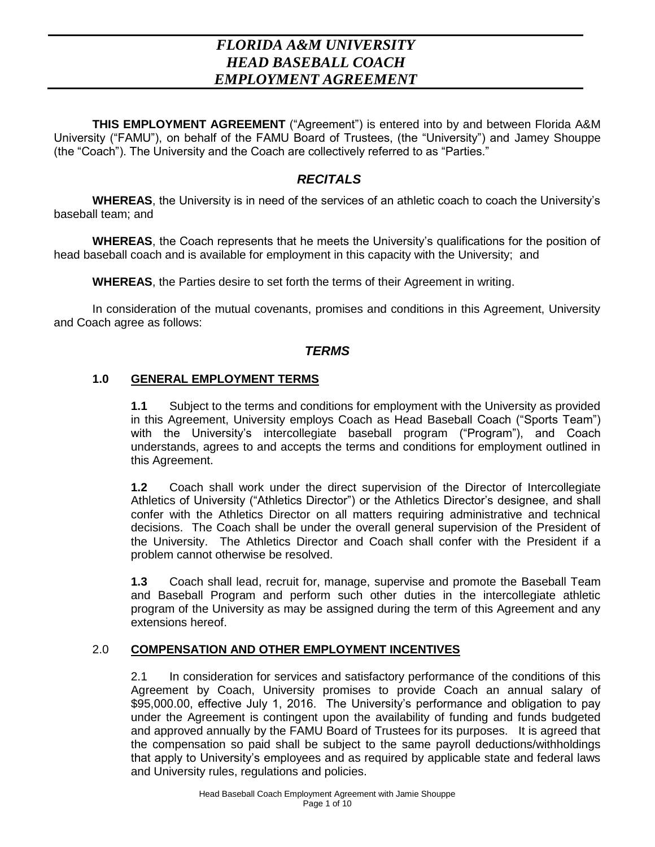# *FLORIDA A&M UNIVERSITY HEAD BASEBALL COACH EMPLOYMENT AGREEMENT*

**THIS EMPLOYMENT AGREEMENT** ("Agreement") is entered into by and between Florida A&M University ("FAMU"), on behalf of the FAMU Board of Trustees, (the "University") and Jamey Shouppe (the "Coach"). The University and the Coach are collectively referred to as "Parties."

# *RECITALS*

**WHEREAS**, the University is in need of the services of an athletic coach to coach the University's baseball team; and

**WHEREAS**, the Coach represents that he meets the University's qualifications for the position of head baseball coach and is available for employment in this capacity with the University; and

**WHEREAS**, the Parties desire to set forth the terms of their Agreement in writing.

In consideration of the mutual covenants, promises and conditions in this Agreement, University and Coach agree as follows:

# *TERMS*

# **1.0 GENERAL EMPLOYMENT TERMS**

**1.1** Subject to the terms and conditions for employment with the University as provided in this Agreement, University employs Coach as Head Baseball Coach ("Sports Team") with the University's intercollegiate baseball program ("Program"), and Coach understands, agrees to and accepts the terms and conditions for employment outlined in this Agreement.

**1.2** Coach shall work under the direct supervision of the Director of Intercollegiate Athletics of University ("Athletics Director") or the Athletics Director's designee, and shall confer with the Athletics Director on all matters requiring administrative and technical decisions. The Coach shall be under the overall general supervision of the President of the University. The Athletics Director and Coach shall confer with the President if a problem cannot otherwise be resolved.

**1.3** Coach shall lead, recruit for, manage, supervise and promote the Baseball Team and Baseball Program and perform such other duties in the intercollegiate athletic program of the University as may be assigned during the term of this Agreement and any extensions hereof.

# 2.0 **COMPENSATION AND OTHER EMPLOYMENT INCENTIVES**

2.1 In consideration for services and satisfactory performance of the conditions of this Agreement by Coach, University promises to provide Coach an annual salary of \$95,000.00, effective July 1, 2016. The University's performance and obligation to pay under the Agreement is contingent upon the availability of funding and funds budgeted and approved annually by the FAMU Board of Trustees for its purposes. It is agreed that the compensation so paid shall be subject to the same payroll deductions/withholdings that apply to University's employees and as required by applicable state and federal laws and University rules, regulations and policies.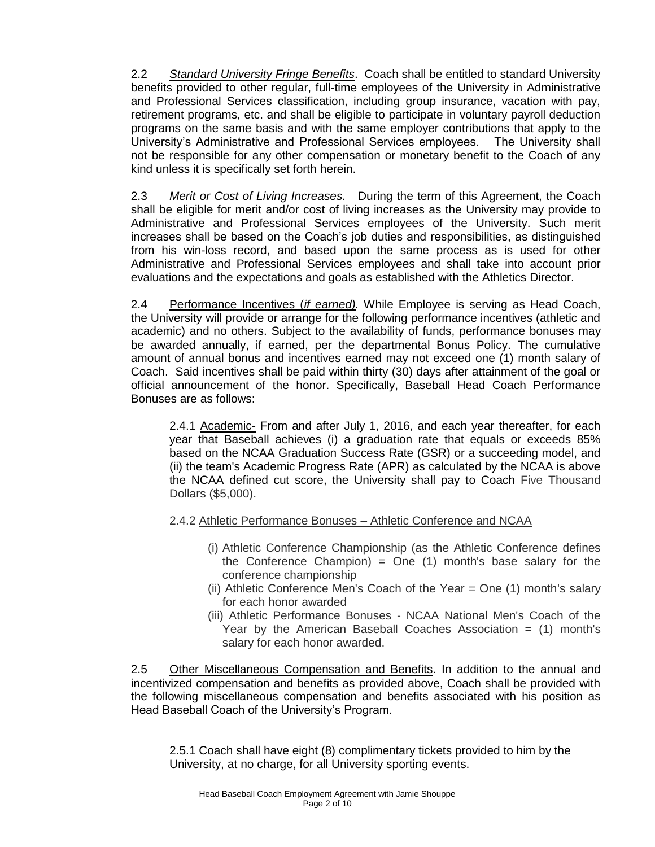2.2 *Standard University Fringe Benefits*. Coach shall be entitled to standard University benefits provided to other regular, full-time employees of the University in Administrative and Professional Services classification, including group insurance, vacation with pay, retirement programs, etc. and shall be eligible to participate in voluntary payroll deduction programs on the same basis and with the same employer contributions that apply to the University's Administrative and Professional Services employees. The University shall not be responsible for any other compensation or monetary benefit to the Coach of any kind unless it is specifically set forth herein.

2.3 *Merit or Cost of Living Increases.* During the term of this Agreement, the Coach shall be eligible for merit and/or cost of living increases as the University may provide to Administrative and Professional Services employees of the University. Such merit increases shall be based on the Coach's job duties and responsibilities, as distinguished from his win-loss record, and based upon the same process as is used for other Administrative and Professional Services employees and shall take into account prior evaluations and the expectations and goals as established with the Athletics Director.

2.4 Performance Incentives (*if earned).* While Employee is serving as Head Coach, the University will provide or arrange for the following performance incentives (athletic and academic) and no others. Subject to the availability of funds, performance bonuses may be awarded annually, if earned, per the departmental Bonus Policy. The cumulative amount of annual bonus and incentives earned may not exceed one (1) month salary of Coach. Said incentives shall be paid within thirty (30) days after attainment of the goal or official announcement of the honor. Specifically, Baseball Head Coach Performance Bonuses are as follows:

2.4.1 Academic- From and after July 1, 2016, and each year thereafter, for each year that Baseball achieves (i) a graduation rate that equals or exceeds 85% based on the NCAA Graduation Success Rate (GSR) or a succeeding model, and (ii) the team's Academic Progress Rate (APR) as calculated by the NCAA is above the NCAA defined cut score, the University shall pay to Coach Five Thousand Dollars (\$5,000).

# 2.4.2 Athletic Performance Bonuses – Athletic Conference and NCAA

- (i) Athletic Conference Championship (as the Athletic Conference defines the Conference Champion) = One  $(1)$  month's base salary for the conference championship
- (ii) Athletic Conference Men's Coach of the Year = One (1) month's salary for each honor awarded
- (iii) Athletic Performance Bonuses NCAA National Men's Coach of the Year by the American Baseball Coaches Association  $=$  (1) month's salary for each honor awarded.

2.5 Other Miscellaneous Compensation and Benefits. In addition to the annual and incentivized compensation and benefits as provided above, Coach shall be provided with the following miscellaneous compensation and benefits associated with his position as Head Baseball Coach of the University's Program.

2.5.1 Coach shall have eight (8) complimentary tickets provided to him by the University, at no charge, for all University sporting events.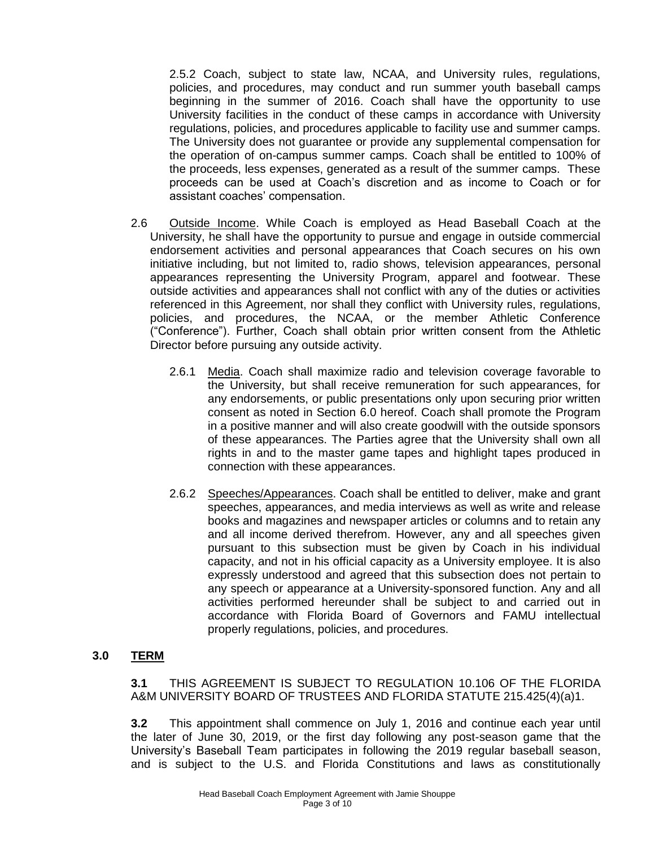2.5.2 Coach, subject to state law, NCAA, and University rules, regulations, policies, and procedures, may conduct and run summer youth baseball camps beginning in the summer of 2016. Coach shall have the opportunity to use University facilities in the conduct of these camps in accordance with University regulations, policies, and procedures applicable to facility use and summer camps. The University does not guarantee or provide any supplemental compensation for the operation of on-campus summer camps. Coach shall be entitled to 100% of the proceeds, less expenses, generated as a result of the summer camps. These proceeds can be used at Coach's discretion and as income to Coach or for assistant coaches' compensation.

- 2.6 Outside Income. While Coach is employed as Head Baseball Coach at the University, he shall have the opportunity to pursue and engage in outside commercial endorsement activities and personal appearances that Coach secures on his own initiative including, but not limited to, radio shows, television appearances, personal appearances representing the University Program, apparel and footwear. These outside activities and appearances shall not conflict with any of the duties or activities referenced in this Agreement, nor shall they conflict with University rules, regulations, policies, and procedures, the NCAA, or the member Athletic Conference ("Conference"). Further, Coach shall obtain prior written consent from the Athletic Director before pursuing any outside activity.
	- 2.6.1 Media. Coach shall maximize radio and television coverage favorable to the University, but shall receive remuneration for such appearances, for any endorsements, or public presentations only upon securing prior written consent as noted in Section 6.0 hereof. Coach shall promote the Program in a positive manner and will also create goodwill with the outside sponsors of these appearances. The Parties agree that the University shall own all rights in and to the master game tapes and highlight tapes produced in connection with these appearances.
	- 2.6.2 Speeches/Appearances. Coach shall be entitled to deliver, make and grant speeches, appearances, and media interviews as well as write and release books and magazines and newspaper articles or columns and to retain any and all income derived therefrom. However, any and all speeches given pursuant to this subsection must be given by Coach in his individual capacity, and not in his official capacity as a University employee. It is also expressly understood and agreed that this subsection does not pertain to any speech or appearance at a University-sponsored function. Any and all activities performed hereunder shall be subject to and carried out in accordance with Florida Board of Governors and FAMU intellectual properly regulations, policies, and procedures.

# **3.0 TERM**

**3.1** THIS AGREEMENT IS SUBJECT TO REGULATION 10.106 OF THE FLORIDA A&M UNIVERSITY BOARD OF TRUSTEES AND FLORIDA STATUTE 215.425(4)(a)1.

**3.2** This appointment shall commence on July 1, 2016 and continue each year until the later of June 30, 2019, or the first day following any post-season game that the University's Baseball Team participates in following the 2019 regular baseball season, and is subject to the U.S. and Florida Constitutions and laws as constitutionally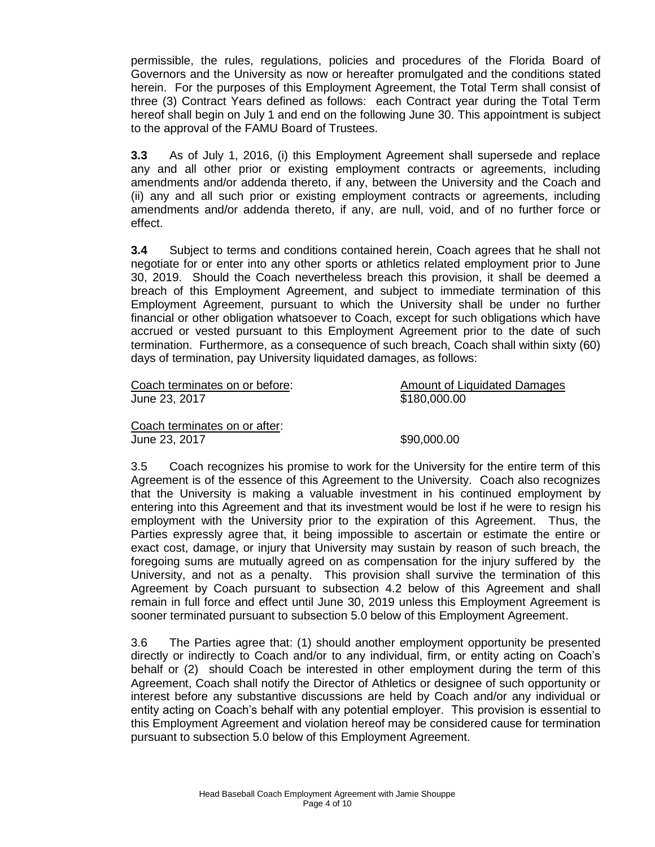permissible, the rules, regulations, policies and procedures of the Florida Board of Governors and the University as now or hereafter promulgated and the conditions stated herein. For the purposes of this Employment Agreement, the Total Term shall consist of three (3) Contract Years defined as follows: each Contract year during the Total Term hereof shall begin on July 1 and end on the following June 30. This appointment is subject to the approval of the FAMU Board of Trustees.

**3.3** As of July 1, 2016, (i) this Employment Agreement shall supersede and replace any and all other prior or existing employment contracts or agreements, including amendments and/or addenda thereto, if any, between the University and the Coach and (ii) any and all such prior or existing employment contracts or agreements, including amendments and/or addenda thereto, if any, are null, void, and of no further force or effect.

**3.4** Subject to terms and conditions contained herein, Coach agrees that he shall not negotiate for or enter into any other sports or athletics related employment prior to June 30, 2019. Should the Coach nevertheless breach this provision, it shall be deemed a breach of this Employment Agreement, and subject to immediate termination of this Employment Agreement, pursuant to which the University shall be under no further financial or other obligation whatsoever to Coach, except for such obligations which have accrued or vested pursuant to this Employment Agreement prior to the date of such termination. Furthermore, as a consequence of such breach, Coach shall within sixty (60) days of termination, pay University liquidated damages, as follows:

| Coach terminates on or before: | Amount of Liquidated Damages |
|--------------------------------|------------------------------|
| June 23, 2017                  | \$180,000.00                 |

Coach terminates on or after: June 23, 2017 **\$90,000.00** 

3.5 Coach recognizes his promise to work for the University for the entire term of this Agreement is of the essence of this Agreement to the University. Coach also recognizes that the University is making a valuable investment in his continued employment by entering into this Agreement and that its investment would be lost if he were to resign his employment with the University prior to the expiration of this Agreement. Thus, the Parties expressly agree that, it being impossible to ascertain or estimate the entire or exact cost, damage, or injury that University may sustain by reason of such breach, the foregoing sums are mutually agreed on as compensation for the injury suffered by the University, and not as a penalty. This provision shall survive the termination of this Agreement by Coach pursuant to subsection 4.2 below of this Agreement and shall remain in full force and effect until June 30, 2019 unless this Employment Agreement is sooner terminated pursuant to subsection 5.0 below of this Employment Agreement.

3.6 The Parties agree that: (1) should another employment opportunity be presented directly or indirectly to Coach and/or to any individual, firm, or entity acting on Coach's behalf or (2) should Coach be interested in other employment during the term of this Agreement, Coach shall notify the Director of Athletics or designee of such opportunity or interest before any substantive discussions are held by Coach and/or any individual or entity acting on Coach's behalf with any potential employer. This provision is essential to this Employment Agreement and violation hereof may be considered cause for termination pursuant to subsection 5.0 below of this Employment Agreement.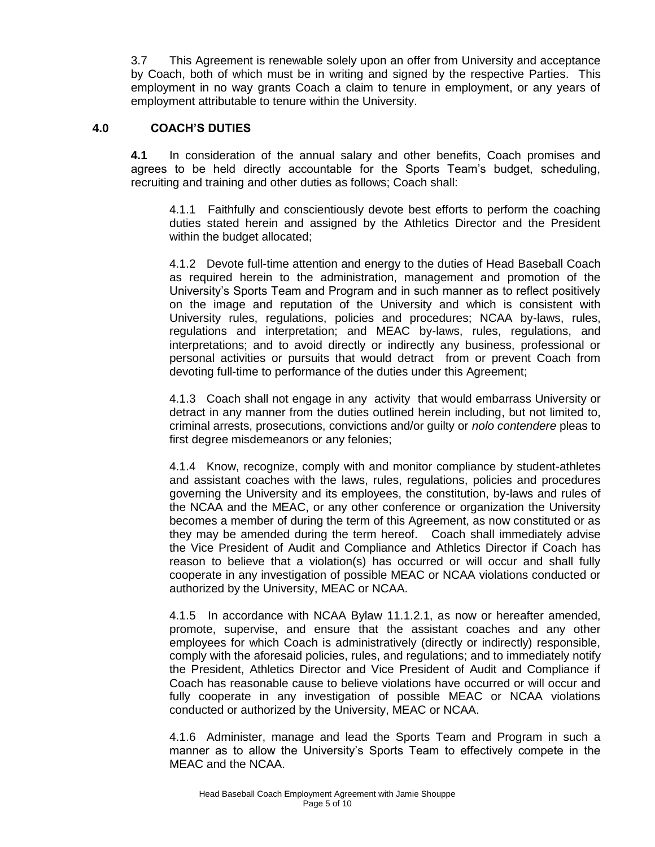3.7 This Agreement is renewable solely upon an offer from University and acceptance by Coach, both of which must be in writing and signed by the respective Parties. This employment in no way grants Coach a claim to tenure in employment, or any years of employment attributable to tenure within the University.

#### **4.0 COACH'S DUTIES**

**4.1** In consideration of the annual salary and other benefits, Coach promises and agrees to be held directly accountable for the Sports Team's budget, scheduling, recruiting and training and other duties as follows; Coach shall:

4.1.1 Faithfully and conscientiously devote best efforts to perform the coaching duties stated herein and assigned by the Athletics Director and the President within the budget allocated;

4.1.2 Devote full-time attention and energy to the duties of Head Baseball Coach as required herein to the administration, management and promotion of the University's Sports Team and Program and in such manner as to reflect positively on the image and reputation of the University and which is consistent with University rules, regulations, policies and procedures; NCAA by-laws, rules, regulations and interpretation; and MEAC by-laws, rules, regulations, and interpretations; and to avoid directly or indirectly any business, professional or personal activities or pursuits that would detract from or prevent Coach from devoting full-time to performance of the duties under this Agreement;

4.1.3 Coach shall not engage in any activity that would embarrass University or detract in any manner from the duties outlined herein including, but not limited to, criminal arrests, prosecutions, convictions and/or guilty or *nolo contendere* pleas to first degree misdemeanors or any felonies;

4.1.4 Know, recognize, comply with and monitor compliance by student-athletes and assistant coaches with the laws, rules, regulations, policies and procedures governing the University and its employees, the constitution, by-laws and rules of the NCAA and the MEAC, or any other conference or organization the University becomes a member of during the term of this Agreement, as now constituted or as they may be amended during the term hereof. Coach shall immediately advise the Vice President of Audit and Compliance and Athletics Director if Coach has reason to believe that a violation(s) has occurred or will occur and shall fully cooperate in any investigation of possible MEAC or NCAA violations conducted or authorized by the University, MEAC or NCAA.

4.1.5 In accordance with NCAA Bylaw 11.1.2.1, as now or hereafter amended, promote, supervise, and ensure that the assistant coaches and any other employees for which Coach is administratively (directly or indirectly) responsible, comply with the aforesaid policies, rules, and regulations; and to immediately notify the President, Athletics Director and Vice President of Audit and Compliance if Coach has reasonable cause to believe violations have occurred or will occur and fully cooperate in any investigation of possible MEAC or NCAA violations conducted or authorized by the University, MEAC or NCAA.

4.1.6 Administer, manage and lead the Sports Team and Program in such a manner as to allow the University's Sports Team to effectively compete in the MEAC and the NCAA.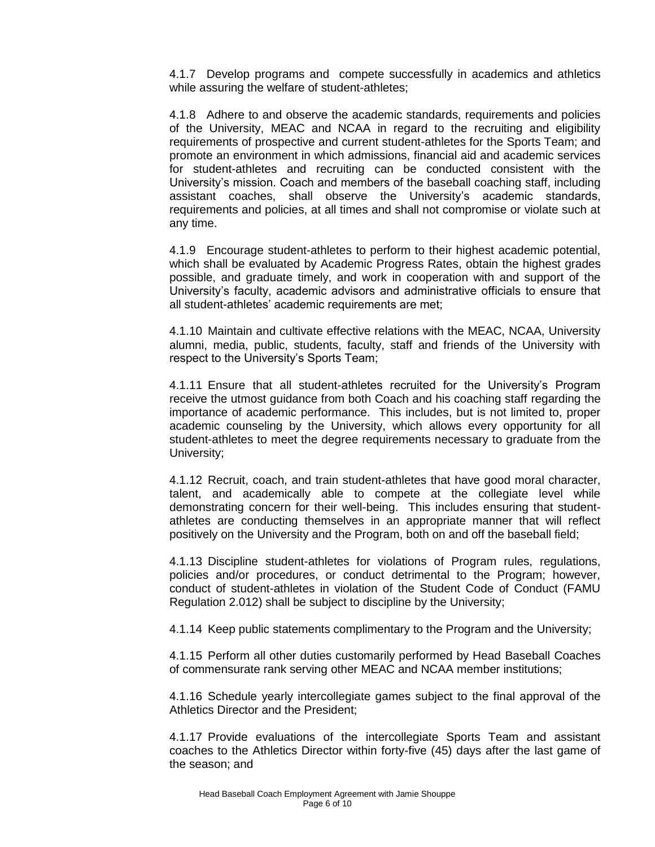4.1.7 Develop programs and compete successfully in academics and athletics while assuring the welfare of student-athletes;

4.1.8 Adhere to and observe the academic standards, requirements and policies of the University, MEAC and NCAA in regard to the recruiting and eligibility requirements of prospective and current student-athletes for the Sports Team; and promote an environment in which admissions, financial aid and academic services for student-athletes and recruiting can be conducted consistent with the University's mission. Coach and members of the baseball coaching staff, including assistant coaches, shall observe the University's academic standards, requirements and policies, at all times and shall not compromise or violate such at any time.

4.1.9 Encourage student-athletes to perform to their highest academic potential, which shall be evaluated by Academic Progress Rates, obtain the highest grades possible, and graduate timely, and work in cooperation with and support of the University's faculty, academic advisors and administrative officials to ensure that all student-athletes' academic requirements are met;

4.1.10 Maintain and cultivate effective relations with the MEAC, NCAA, University alumni, media, public, students, faculty, staff and friends of the University with respect to the University's Sports Team;

4.1.11 Ensure that all student-athletes recruited for the University's Program receive the utmost guidance from both Coach and his coaching staff regarding the importance of academic performance. This includes, but is not limited to, proper academic counseling by the University, which allows every opportunity for all student-athletes to meet the degree requirements necessary to graduate from the University;

4.1.12 Recruit, coach, and train student-athletes that have good moral character, talent, and academically able to compete at the collegiate level while demonstrating concern for their well-being. This includes ensuring that studentathletes are conducting themselves in an appropriate manner that will reflect positively on the University and the Program, both on and off the baseball field;

4.1.13 Discipline student-athletes for violations of Program rules, regulations, policies and/or procedures, or conduct detrimental to the Program; however, conduct of student-athletes in violation of the Student Code of Conduct (FAMU Regulation 2.012) shall be subject to discipline by the University;

4.1.14 Keep public statements complimentary to the Program and the University;

4.1.15 Perform all other duties customarily performed by Head Baseball Coaches of commensurate rank serving other MEAC and NCAA member institutions;

4.1.16 Schedule yearly intercollegiate games subject to the final approval of the Athletics Director and the President;

4.1.17 Provide evaluations of the intercollegiate Sports Team and assistant coaches to the Athletics Director within forty-five (45) days after the last game of the season; and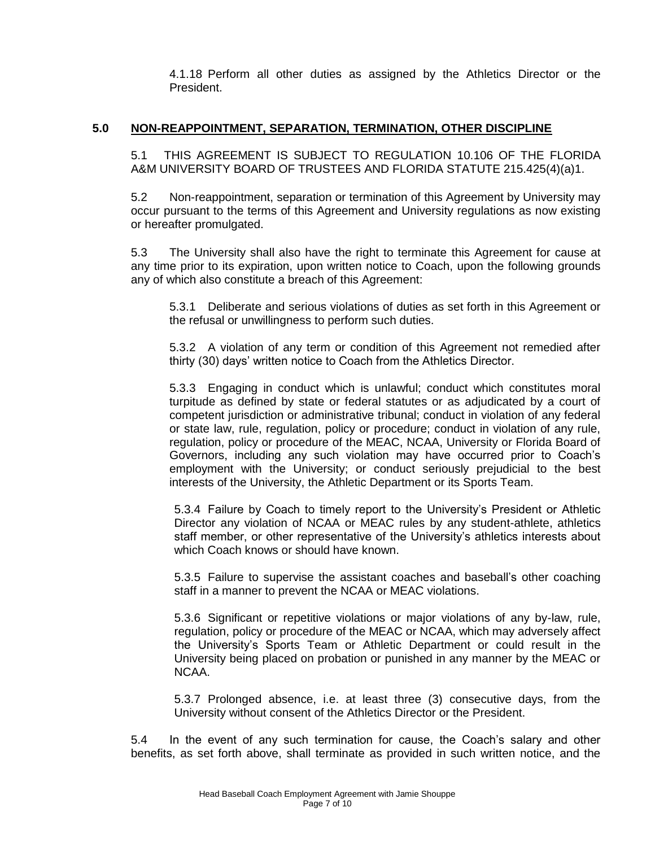4.1.18 Perform all other duties as assigned by the Athletics Director or the President.

# **5.0 NON-REAPPOINTMENT, SEPARATION, TERMINATION, OTHER DISCIPLINE**

5.1 THIS AGREEMENT IS SUBJECT TO REGULATION 10.106 OF THE FLORIDA A&M UNIVERSITY BOARD OF TRUSTEES AND FLORIDA STATUTE 215.425(4)(a)1.

5.2 Non-reappointment, separation or termination of this Agreement by University may occur pursuant to the terms of this Agreement and University regulations as now existing or hereafter promulgated.

5.3 The University shall also have the right to terminate this Agreement for cause at any time prior to its expiration, upon written notice to Coach, upon the following grounds any of which also constitute a breach of this Agreement:

5.3.1 Deliberate and serious violations of duties as set forth in this Agreement or the refusal or unwillingness to perform such duties.

5.3.2 A violation of any term or condition of this Agreement not remedied after thirty (30) days' written notice to Coach from the Athletics Director.

5.3.3 Engaging in conduct which is unlawful; conduct which constitutes moral turpitude as defined by state or federal statutes or as adjudicated by a court of competent jurisdiction or administrative tribunal; conduct in violation of any federal or state law, rule, regulation, policy or procedure; conduct in violation of any rule, regulation, policy or procedure of the MEAC, NCAA, University or Florida Board of Governors, including any such violation may have occurred prior to Coach's employment with the University; or conduct seriously prejudicial to the best interests of the University, the Athletic Department or its Sports Team.

5.3.4 Failure by Coach to timely report to the University's President or Athletic Director any violation of NCAA or MEAC rules by any student-athlete, athletics staff member, or other representative of the University's athletics interests about which Coach knows or should have known.

5.3.5 Failure to supervise the assistant coaches and baseball's other coaching staff in a manner to prevent the NCAA or MEAC violations.

5.3.6 Significant or repetitive violations or major violations of any by-law, rule, regulation, policy or procedure of the MEAC or NCAA, which may adversely affect the University's Sports Team or Athletic Department or could result in the University being placed on probation or punished in any manner by the MEAC or NCAA.

5.3.7 Prolonged absence, i.e. at least three (3) consecutive days, from the University without consent of the Athletics Director or the President.

5.4 In the event of any such termination for cause, the Coach's salary and other benefits, as set forth above, shall terminate as provided in such written notice, and the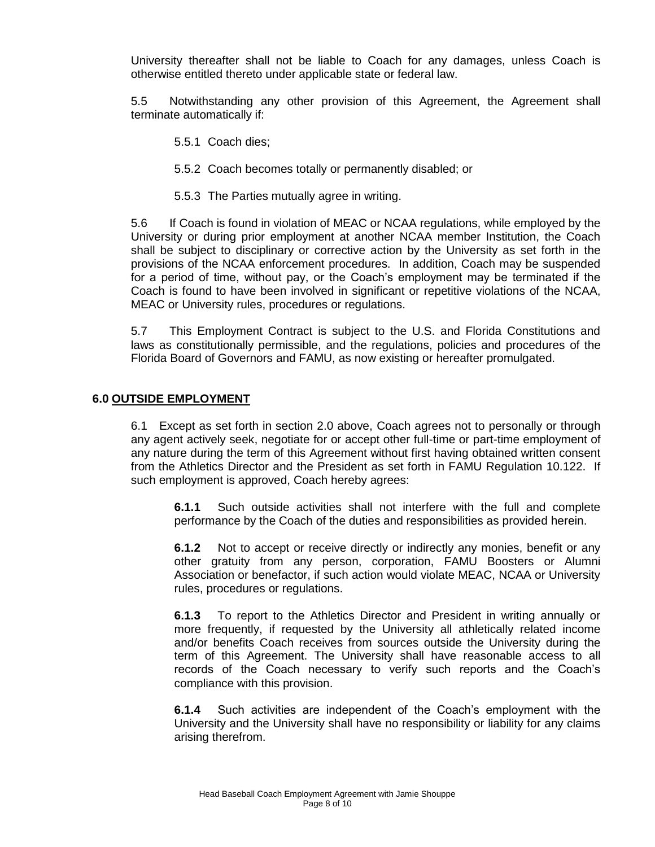University thereafter shall not be liable to Coach for any damages, unless Coach is otherwise entitled thereto under applicable state or federal law.

5.5 Notwithstanding any other provision of this Agreement, the Agreement shall terminate automatically if:

- 5.5.1 Coach dies;
- 5.5.2 Coach becomes totally or permanently disabled; or
- 5.5.3 The Parties mutually agree in writing.

5.6 If Coach is found in violation of MEAC or NCAA regulations, while employed by the University or during prior employment at another NCAA member Institution, the Coach shall be subject to disciplinary or corrective action by the University as set forth in the provisions of the NCAA enforcement procedures. In addition, Coach may be suspended for a period of time, without pay, or the Coach's employment may be terminated if the Coach is found to have been involved in significant or repetitive violations of the NCAA, MEAC or University rules, procedures or regulations.

5.7 This Employment Contract is subject to the U.S. and Florida Constitutions and laws as constitutionally permissible, and the regulations, policies and procedures of the Florida Board of Governors and FAMU, as now existing or hereafter promulgated.

#### **6.0 OUTSIDE EMPLOYMENT**

6.1 Except as set forth in section 2.0 above, Coach agrees not to personally or through any agent actively seek, negotiate for or accept other full-time or part-time employment of any nature during the term of this Agreement without first having obtained written consent from the Athletics Director and the President as set forth in FAMU Regulation 10.122. If such employment is approved, Coach hereby agrees:

**6.1.1** Such outside activities shall not interfere with the full and complete performance by the Coach of the duties and responsibilities as provided herein.

**6.1.2** Not to accept or receive directly or indirectly any monies, benefit or any other gratuity from any person, corporation, FAMU Boosters or Alumni Association or benefactor, if such action would violate MEAC, NCAA or University rules, procedures or regulations.

**6.1.3** To report to the Athletics Director and President in writing annually or more frequently, if requested by the University all athletically related income and/or benefits Coach receives from sources outside the University during the term of this Agreement. The University shall have reasonable access to all records of the Coach necessary to verify such reports and the Coach's compliance with this provision.

**6.1.4** Such activities are independent of the Coach's employment with the University and the University shall have no responsibility or liability for any claims arising therefrom.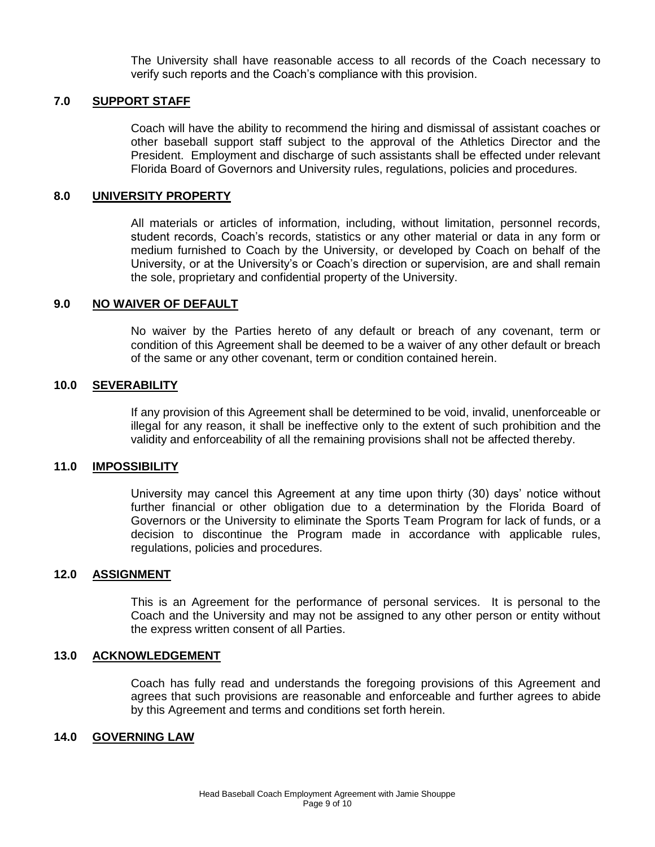The University shall have reasonable access to all records of the Coach necessary to verify such reports and the Coach's compliance with this provision.

#### **7.0 SUPPORT STAFF**

Coach will have the ability to recommend the hiring and dismissal of assistant coaches or other baseball support staff subject to the approval of the Athletics Director and the President. Employment and discharge of such assistants shall be effected under relevant Florida Board of Governors and University rules, regulations, policies and procedures.

#### **8.0 UNIVERSITY PROPERTY**

All materials or articles of information, including, without limitation, personnel records, student records, Coach's records, statistics or any other material or data in any form or medium furnished to Coach by the University, or developed by Coach on behalf of the University, or at the University's or Coach's direction or supervision, are and shall remain the sole, proprietary and confidential property of the University.

#### **9.0 NO WAIVER OF DEFAULT**

No waiver by the Parties hereto of any default or breach of any covenant, term or condition of this Agreement shall be deemed to be a waiver of any other default or breach of the same or any other covenant, term or condition contained herein.

#### **10.0 SEVERABILITY**

If any provision of this Agreement shall be determined to be void, invalid, unenforceable or illegal for any reason, it shall be ineffective only to the extent of such prohibition and the validity and enforceability of all the remaining provisions shall not be affected thereby.

#### **11.0 IMPOSSIBILITY**

University may cancel this Agreement at any time upon thirty (30) days' notice without further financial or other obligation due to a determination by the Florida Board of Governors or the University to eliminate the Sports Team Program for lack of funds, or a decision to discontinue the Program made in accordance with applicable rules, regulations, policies and procedures.

#### **12.0 ASSIGNMENT**

This is an Agreement for the performance of personal services. It is personal to the Coach and the University and may not be assigned to any other person or entity without the express written consent of all Parties.

#### **13.0 ACKNOWLEDGEMENT**

Coach has fully read and understands the foregoing provisions of this Agreement and agrees that such provisions are reasonable and enforceable and further agrees to abide by this Agreement and terms and conditions set forth herein.

#### **14.0 GOVERNING LAW**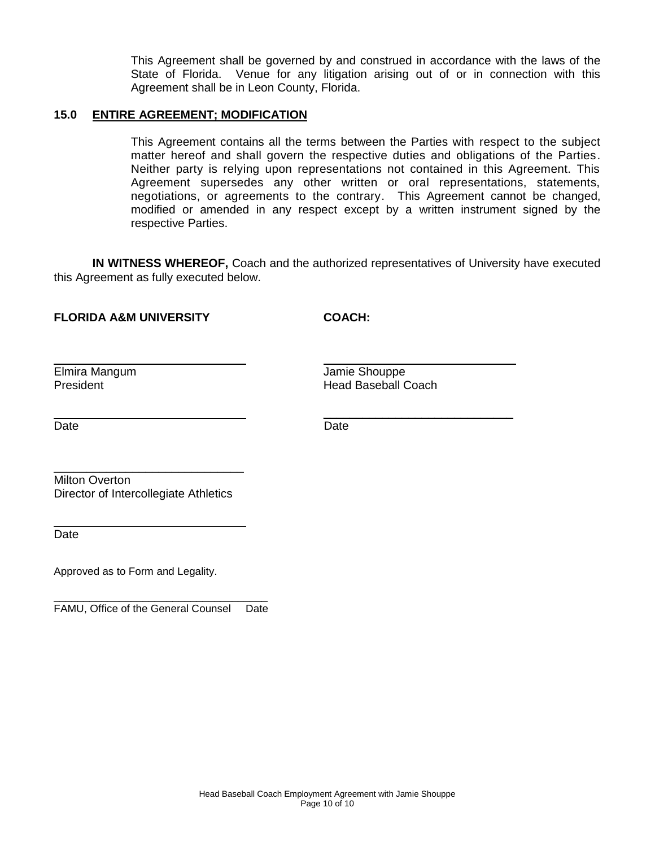This Agreement shall be governed by and construed in accordance with the laws of the State of Florida. Venue for any litigation arising out of or in connection with this Agreement shall be in Leon County, Florida.

#### **15.0 ENTIRE AGREEMENT; MODIFICATION**

This Agreement contains all the terms between the Parties with respect to the subject matter hereof and shall govern the respective duties and obligations of the Parties. Neither party is relying upon representations not contained in this Agreement. This Agreement supersedes any other written or oral representations, statements, negotiations, or agreements to the contrary. This Agreement cannot be changed, modified or amended in any respect except by a written instrument signed by the respective Parties.

**IN WITNESS WHEREOF,** Coach and the authorized representatives of University have executed this Agreement as fully executed below.

# **FLORIDA A&M UNIVERSITY COACH:**

Elmira Mangum Jamie Shouppe

President Head Baseball Coach

i<br>L

Date **Date Date Date Date Date** 

 $\overline{\phantom{a}}$  , which is a set of the set of the set of the set of the set of the set of the set of the set of the set of the set of the set of the set of the set of the set of the set of the set of the set of the set of th

 $\mathcal{L}_\text{max}$  and  $\mathcal{L}_\text{max}$  and  $\mathcal{L}_\text{max}$  and  $\mathcal{L}_\text{max}$ Milton Overton Director of Intercollegiate Athletics

**Date** 

Approved as to Form and Legality.

\_\_\_\_\_\_\_\_\_\_\_\_\_\_\_\_\_\_\_\_\_\_\_\_\_\_\_\_\_\_\_\_\_\_\_\_ FAMU, Office of the General Counsel Date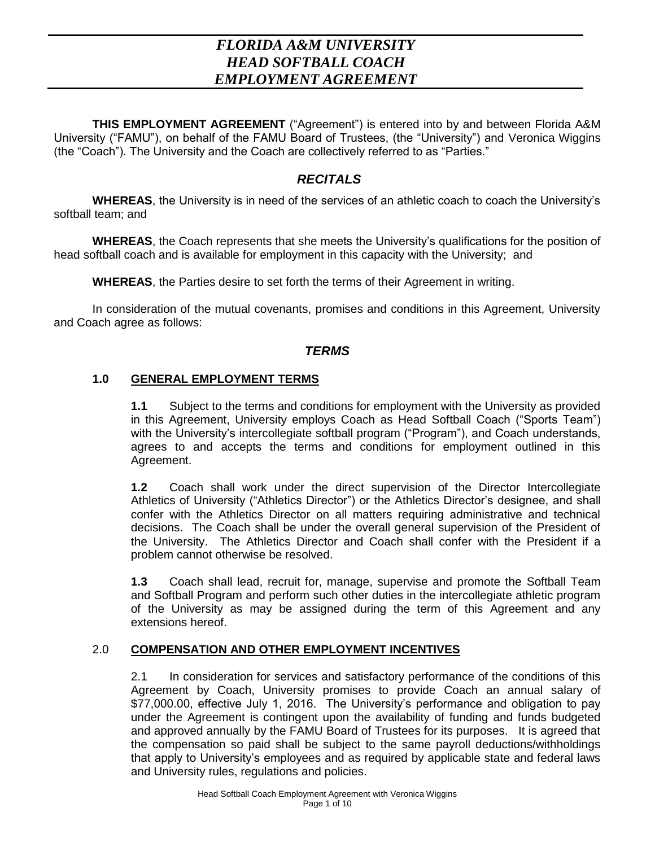# *FLORIDA A&M UNIVERSITY HEAD SOFTBALL COACH EMPLOYMENT AGREEMENT*

**THIS EMPLOYMENT AGREEMENT** ("Agreement") is entered into by and between Florida A&M University ("FAMU"), on behalf of the FAMU Board of Trustees, (the "University") and Veronica Wiggins (the "Coach"). The University and the Coach are collectively referred to as "Parties."

# *RECITALS*

**WHEREAS**, the University is in need of the services of an athletic coach to coach the University's softball team; and

**WHEREAS**, the Coach represents that she meets the University's qualifications for the position of head softball coach and is available for employment in this capacity with the University; and

**WHEREAS**, the Parties desire to set forth the terms of their Agreement in writing.

In consideration of the mutual covenants, promises and conditions in this Agreement, University and Coach agree as follows:

# *TERMS*

# **1.0 GENERAL EMPLOYMENT TERMS**

**1.1** Subject to the terms and conditions for employment with the University as provided in this Agreement, University employs Coach as Head Softball Coach ("Sports Team") with the University's intercollegiate softball program ("Program"), and Coach understands, agrees to and accepts the terms and conditions for employment outlined in this Agreement.

**1.2** Coach shall work under the direct supervision of the Director Intercollegiate Athletics of University ("Athletics Director") or the Athletics Director's designee, and shall confer with the Athletics Director on all matters requiring administrative and technical decisions. The Coach shall be under the overall general supervision of the President of the University. The Athletics Director and Coach shall confer with the President if a problem cannot otherwise be resolved.

**1.3** Coach shall lead, recruit for, manage, supervise and promote the Softball Team and Softball Program and perform such other duties in the intercollegiate athletic program of the University as may be assigned during the term of this Agreement and any extensions hereof.

# 2.0 **COMPENSATION AND OTHER EMPLOYMENT INCENTIVES**

2.1 In consideration for services and satisfactory performance of the conditions of this Agreement by Coach, University promises to provide Coach an annual salary of \$77,000.00, effective July 1, 2016. The University's performance and obligation to pay under the Agreement is contingent upon the availability of funding and funds budgeted and approved annually by the FAMU Board of Trustees for its purposes. It is agreed that the compensation so paid shall be subject to the same payroll deductions/withholdings that apply to University's employees and as required by applicable state and federal laws and University rules, regulations and policies.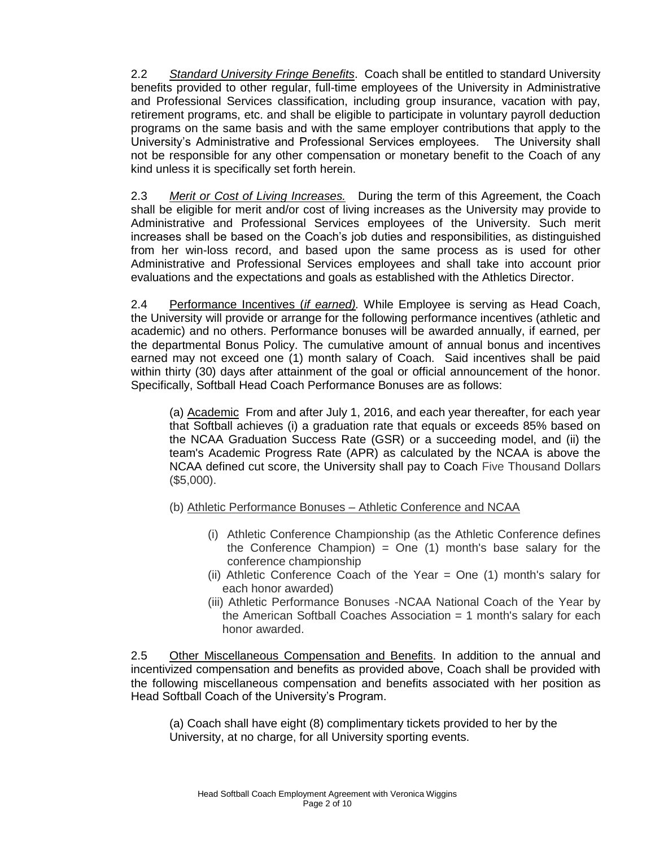2.2 *Standard University Fringe Benefits*. Coach shall be entitled to standard University benefits provided to other regular, full-time employees of the University in Administrative and Professional Services classification, including group insurance, vacation with pay, retirement programs, etc. and shall be eligible to participate in voluntary payroll deduction programs on the same basis and with the same employer contributions that apply to the University's Administrative and Professional Services employees. The University shall not be responsible for any other compensation or monetary benefit to the Coach of any kind unless it is specifically set forth herein.

2.3 *Merit or Cost of Living Increases.* During the term of this Agreement, the Coach shall be eligible for merit and/or cost of living increases as the University may provide to Administrative and Professional Services employees of the University. Such merit increases shall be based on the Coach's job duties and responsibilities, as distinguished from her win-loss record, and based upon the same process as is used for other Administrative and Professional Services employees and shall take into account prior evaluations and the expectations and goals as established with the Athletics Director.

2.4 Performance Incentives (*if earned).* While Employee is serving as Head Coach, the University will provide or arrange for the following performance incentives (athletic and academic) and no others. Performance bonuses will be awarded annually, if earned, per the departmental Bonus Policy. The cumulative amount of annual bonus and incentives earned may not exceed one (1) month salary of Coach. Said incentives shall be paid within thirty (30) days after attainment of the goal or official announcement of the honor. Specifically, Softball Head Coach Performance Bonuses are as follows:

(a) Academic From and after July 1, 2016, and each year thereafter, for each year that Softball achieves (i) a graduation rate that equals or exceeds 85% based on the NCAA Graduation Success Rate (GSR) or a succeeding model, and (ii) the team's Academic Progress Rate (APR) as calculated by the NCAA is above the NCAA defined cut score, the University shall pay to Coach Five Thousand Dollars (\$5,000).

- (b) Athletic Performance Bonuses Athletic Conference and NCAA
	- (i) Athletic Conference Championship (as the Athletic Conference defines the Conference Champion) = One  $(1)$  month's base salary for the conference championship
	- (ii) Athletic Conference Coach of the Year = One (1) month's salary for each honor awarded)
	- (iii) Athletic Performance Bonuses -NCAA National Coach of the Year by the American Softball Coaches Association  $= 1$  month's salary for each honor awarded.

2.5 Other Miscellaneous Compensation and Benefits. In addition to the annual and incentivized compensation and benefits as provided above, Coach shall be provided with the following miscellaneous compensation and benefits associated with her position as Head Softball Coach of the University's Program.

(a) Coach shall have eight (8) complimentary tickets provided to her by the University, at no charge, for all University sporting events.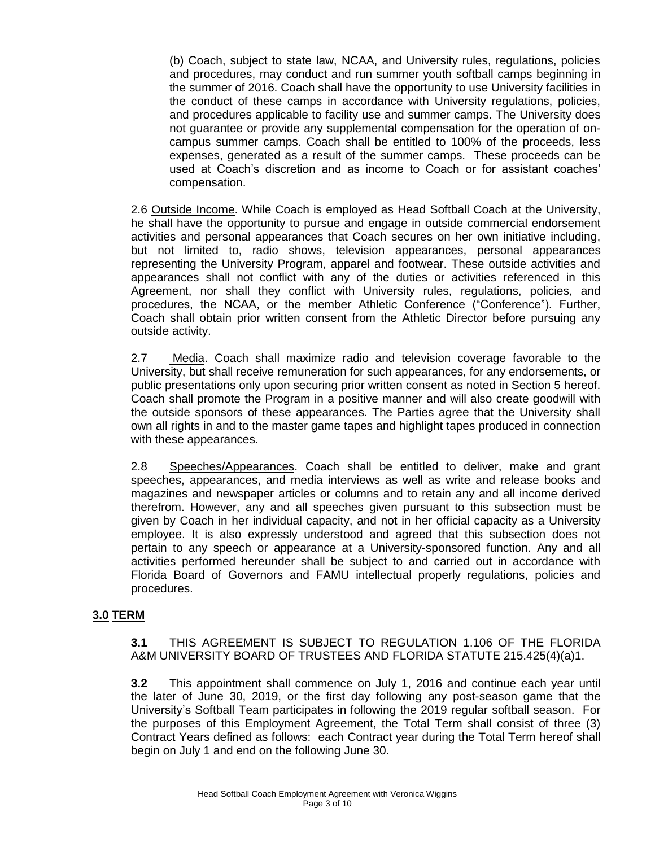(b) Coach, subject to state law, NCAA, and University rules, regulations, policies and procedures, may conduct and run summer youth softball camps beginning in the summer of 2016. Coach shall have the opportunity to use University facilities in the conduct of these camps in accordance with University regulations, policies, and procedures applicable to facility use and summer camps. The University does not guarantee or provide any supplemental compensation for the operation of oncampus summer camps. Coach shall be entitled to 100% of the proceeds, less expenses, generated as a result of the summer camps. These proceeds can be used at Coach's discretion and as income to Coach or for assistant coaches' compensation.

2.6 Outside Income. While Coach is employed as Head Softball Coach at the University, he shall have the opportunity to pursue and engage in outside commercial endorsement activities and personal appearances that Coach secures on her own initiative including, but not limited to, radio shows, television appearances, personal appearances representing the University Program, apparel and footwear. These outside activities and appearances shall not conflict with any of the duties or activities referenced in this Agreement, nor shall they conflict with University rules, regulations, policies, and procedures, the NCAA, or the member Athletic Conference ("Conference"). Further, Coach shall obtain prior written consent from the Athletic Director before pursuing any outside activity.

2.7 Media. Coach shall maximize radio and television coverage favorable to the University, but shall receive remuneration for such appearances, for any endorsements, or public presentations only upon securing prior written consent as noted in Section 5 hereof. Coach shall promote the Program in a positive manner and will also create goodwill with the outside sponsors of these appearances. The Parties agree that the University shall own all rights in and to the master game tapes and highlight tapes produced in connection with these appearances.

2.8 Speeches/Appearances. Coach shall be entitled to deliver, make and grant speeches, appearances, and media interviews as well as write and release books and magazines and newspaper articles or columns and to retain any and all income derived therefrom. However, any and all speeches given pursuant to this subsection must be given by Coach in her individual capacity, and not in her official capacity as a University employee. It is also expressly understood and agreed that this subsection does not pertain to any speech or appearance at a University-sponsored function. Any and all activities performed hereunder shall be subject to and carried out in accordance with Florida Board of Governors and FAMU intellectual properly regulations, policies and procedures.

# **3.0 TERM**

**3.1** THIS AGREEMENT IS SUBJECT TO REGULATION 1.106 OF THE FLORIDA A&M UNIVERSITY BOARD OF TRUSTEES AND FLORIDA STATUTE 215.425(4)(a)1.

**3.2** This appointment shall commence on July 1, 2016 and continue each year until the later of June 30, 2019, or the first day following any post-season game that the University's Softball Team participates in following the 2019 regular softball season. For the purposes of this Employment Agreement, the Total Term shall consist of three (3) Contract Years defined as follows: each Contract year during the Total Term hereof shall begin on July 1 and end on the following June 30.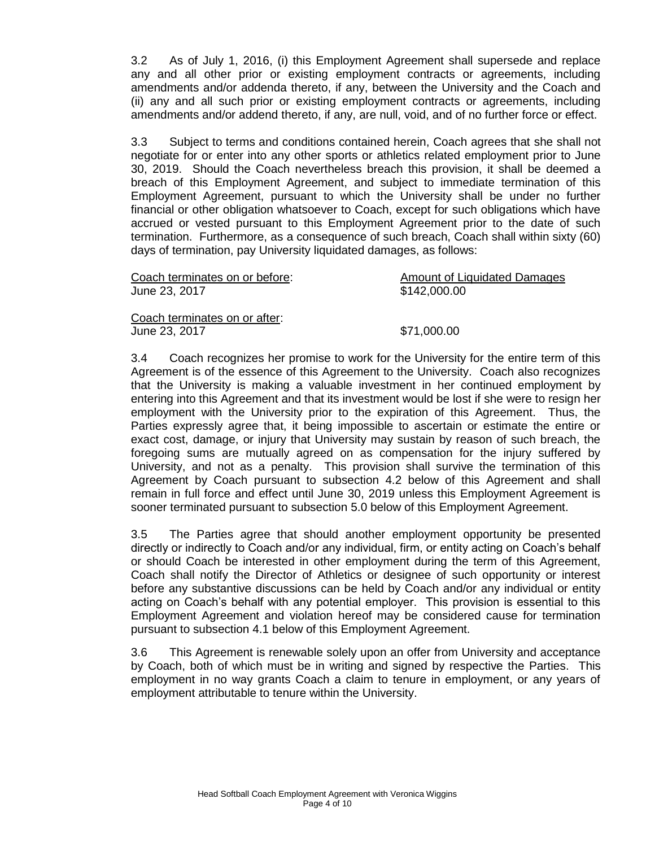3.2 As of July 1, 2016, (i) this Employment Agreement shall supersede and replace any and all other prior or existing employment contracts or agreements, including amendments and/or addenda thereto, if any, between the University and the Coach and (ii) any and all such prior or existing employment contracts or agreements, including amendments and/or addend thereto, if any, are null, void, and of no further force or effect.

3.3 Subject to terms and conditions contained herein, Coach agrees that she shall not negotiate for or enter into any other sports or athletics related employment prior to June 30, 2019. Should the Coach nevertheless breach this provision, it shall be deemed a breach of this Employment Agreement, and subject to immediate termination of this Employment Agreement, pursuant to which the University shall be under no further financial or other obligation whatsoever to Coach, except for such obligations which have accrued or vested pursuant to this Employment Agreement prior to the date of such termination. Furthermore, as a consequence of such breach, Coach shall within sixty (60) days of termination, pay University liquidated damages, as follows:

| Coach terminates on or before: | <b>Amount of Liquidated Damages</b> |
|--------------------------------|-------------------------------------|
| June 23, 2017                  | \$142,000.00                        |
| Coach terminates on or after:  |                                     |
| June 23, 2017                  | \$71,000.00                         |

3.4 Coach recognizes her promise to work for the University for the entire term of this Agreement is of the essence of this Agreement to the University. Coach also recognizes that the University is making a valuable investment in her continued employment by entering into this Agreement and that its investment would be lost if she were to resign her employment with the University prior to the expiration of this Agreement. Thus, the Parties expressly agree that, it being impossible to ascertain or estimate the entire or exact cost, damage, or injury that University may sustain by reason of such breach, the foregoing sums are mutually agreed on as compensation for the injury suffered by University, and not as a penalty. This provision shall survive the termination of this Agreement by Coach pursuant to subsection 4.2 below of this Agreement and shall remain in full force and effect until June 30, 2019 unless this Employment Agreement is sooner terminated pursuant to subsection 5.0 below of this Employment Agreement.

3.5 The Parties agree that should another employment opportunity be presented directly or indirectly to Coach and/or any individual, firm, or entity acting on Coach's behalf or should Coach be interested in other employment during the term of this Agreement, Coach shall notify the Director of Athletics or designee of such opportunity or interest before any substantive discussions can be held by Coach and/or any individual or entity acting on Coach's behalf with any potential employer. This provision is essential to this Employment Agreement and violation hereof may be considered cause for termination pursuant to subsection 4.1 below of this Employment Agreement.

3.6 This Agreement is renewable solely upon an offer from University and acceptance by Coach, both of which must be in writing and signed by respective the Parties. This employment in no way grants Coach a claim to tenure in employment, or any years of employment attributable to tenure within the University.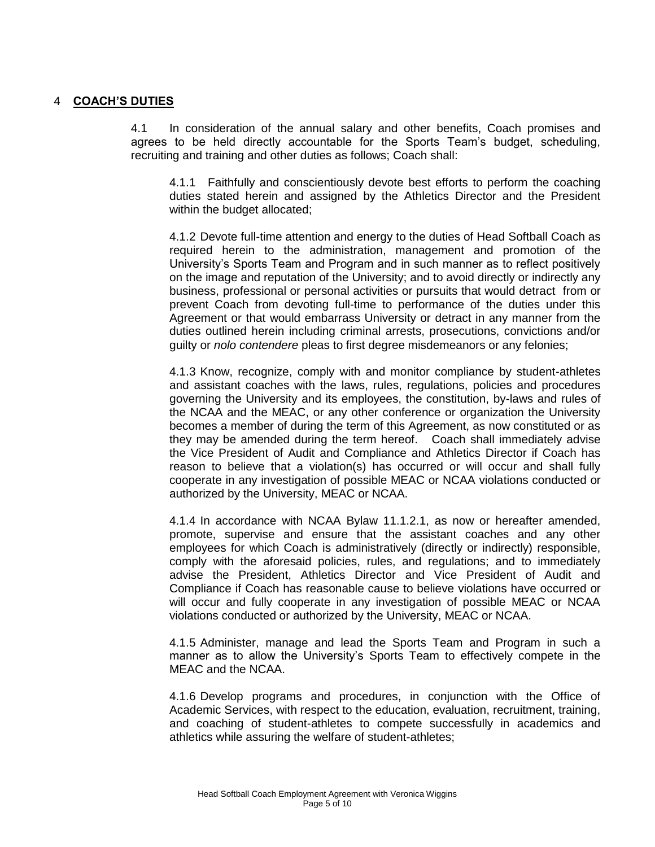#### 4 **COACH'S DUTIES**

4.1 In consideration of the annual salary and other benefits, Coach promises and agrees to be held directly accountable for the Sports Team's budget, scheduling, recruiting and training and other duties as follows; Coach shall:

4.1.1 Faithfully and conscientiously devote best efforts to perform the coaching duties stated herein and assigned by the Athletics Director and the President within the budget allocated;

4.1.2 Devote full-time attention and energy to the duties of Head Softball Coach as required herein to the administration, management and promotion of the University's Sports Team and Program and in such manner as to reflect positively on the image and reputation of the University; and to avoid directly or indirectly any business, professional or personal activities or pursuits that would detract from or prevent Coach from devoting full-time to performance of the duties under this Agreement or that would embarrass University or detract in any manner from the duties outlined herein including criminal arrests, prosecutions, convictions and/or guilty or *nolo contendere* pleas to first degree misdemeanors or any felonies;

4.1.3 Know, recognize, comply with and monitor compliance by student-athletes and assistant coaches with the laws, rules, regulations, policies and procedures governing the University and its employees, the constitution, by-laws and rules of the NCAA and the MEAC, or any other conference or organization the University becomes a member of during the term of this Agreement, as now constituted or as they may be amended during the term hereof. Coach shall immediately advise the Vice President of Audit and Compliance and Athletics Director if Coach has reason to believe that a violation(s) has occurred or will occur and shall fully cooperate in any investigation of possible MEAC or NCAA violations conducted or authorized by the University, MEAC or NCAA.

4.1.4 In accordance with NCAA Bylaw 11.1.2.1, as now or hereafter amended, promote, supervise and ensure that the assistant coaches and any other employees for which Coach is administratively (directly or indirectly) responsible, comply with the aforesaid policies, rules, and regulations; and to immediately advise the President, Athletics Director and Vice President of Audit and Compliance if Coach has reasonable cause to believe violations have occurred or will occur and fully cooperate in any investigation of possible MEAC or NCAA violations conducted or authorized by the University, MEAC or NCAA.

4.1.5 Administer, manage and lead the Sports Team and Program in such a manner as to allow the University's Sports Team to effectively compete in the MEAC and the NCAA.

4.1.6 Develop programs and procedures, in conjunction with the Office of Academic Services, with respect to the education, evaluation, recruitment, training, and coaching of student-athletes to compete successfully in academics and athletics while assuring the welfare of student-athletes;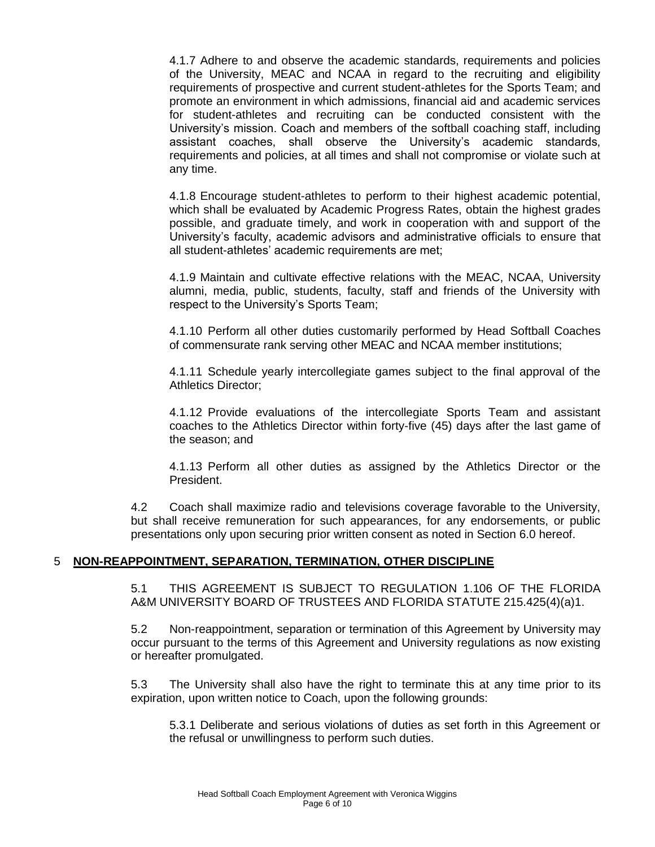4.1.7 Adhere to and observe the academic standards, requirements and policies of the University, MEAC and NCAA in regard to the recruiting and eligibility requirements of prospective and current student-athletes for the Sports Team; and promote an environment in which admissions, financial aid and academic services for student-athletes and recruiting can be conducted consistent with the University's mission. Coach and members of the softball coaching staff, including assistant coaches, shall observe the University's academic standards, requirements and policies, at all times and shall not compromise or violate such at any time.

4.1.8 Encourage student-athletes to perform to their highest academic potential, which shall be evaluated by Academic Progress Rates, obtain the highest grades possible, and graduate timely, and work in cooperation with and support of the University's faculty, academic advisors and administrative officials to ensure that all student-athletes' academic requirements are met;

4.1.9 Maintain and cultivate effective relations with the MEAC, NCAA, University alumni, media, public, students, faculty, staff and friends of the University with respect to the University's Sports Team;

4.1.10 Perform all other duties customarily performed by Head Softball Coaches of commensurate rank serving other MEAC and NCAA member institutions;

4.1.11 Schedule yearly intercollegiate games subject to the final approval of the Athletics Director;

4.1.12 Provide evaluations of the intercollegiate Sports Team and assistant coaches to the Athletics Director within forty-five (45) days after the last game of the season; and

4.1.13 Perform all other duties as assigned by the Athletics Director or the President.

4.2 Coach shall maximize radio and televisions coverage favorable to the University, but shall receive remuneration for such appearances, for any endorsements, or public presentations only upon securing prior written consent as noted in Section 6.0 hereof.

# 5 **NON-REAPPOINTMENT, SEPARATION, TERMINATION, OTHER DISCIPLINE**

5.1 THIS AGREEMENT IS SUBJECT TO REGULATION 1.106 OF THE FLORIDA A&M UNIVERSITY BOARD OF TRUSTEES AND FLORIDA STATUTE 215.425(4)(a)1.

5.2 Non-reappointment, separation or termination of this Agreement by University may occur pursuant to the terms of this Agreement and University regulations as now existing or hereafter promulgated.

5.3 The University shall also have the right to terminate this at any time prior to its expiration, upon written notice to Coach, upon the following grounds:

5.3.1 Deliberate and serious violations of duties as set forth in this Agreement or the refusal or unwillingness to perform such duties.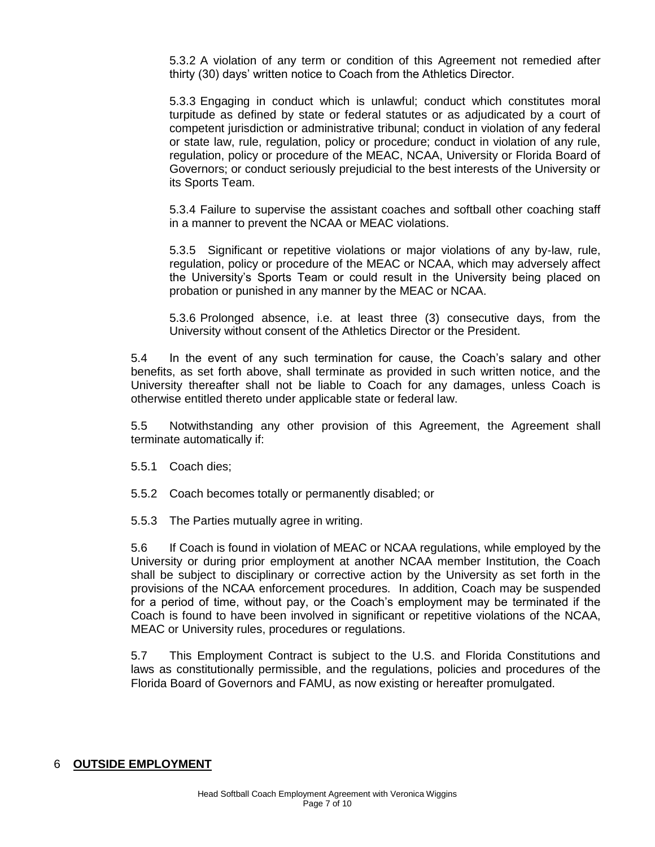5.3.2 A violation of any term or condition of this Agreement not remedied after thirty (30) days' written notice to Coach from the Athletics Director.

5.3.3 Engaging in conduct which is unlawful; conduct which constitutes moral turpitude as defined by state or federal statutes or as adjudicated by a court of competent jurisdiction or administrative tribunal; conduct in violation of any federal or state law, rule, regulation, policy or procedure; conduct in violation of any rule, regulation, policy or procedure of the MEAC, NCAA, University or Florida Board of Governors; or conduct seriously prejudicial to the best interests of the University or its Sports Team.

5.3.4 Failure to supervise the assistant coaches and softball other coaching staff in a manner to prevent the NCAA or MEAC violations.

5.3.5 Significant or repetitive violations or major violations of any by-law, rule, regulation, policy or procedure of the MEAC or NCAA, which may adversely affect the University's Sports Team or could result in the University being placed on probation or punished in any manner by the MEAC or NCAA.

5.3.6 Prolonged absence, i.e. at least three (3) consecutive days, from the University without consent of the Athletics Director or the President.

5.4 In the event of any such termination for cause, the Coach's salary and other benefits, as set forth above, shall terminate as provided in such written notice, and the University thereafter shall not be liable to Coach for any damages, unless Coach is otherwise entitled thereto under applicable state or federal law.

5.5 Notwithstanding any other provision of this Agreement, the Agreement shall terminate automatically if:

- 5.5.1 Coach dies;
- 5.5.2 Coach becomes totally or permanently disabled; or
- 5.5.3 The Parties mutually agree in writing.

5.6 If Coach is found in violation of MEAC or NCAA regulations, while employed by the University or during prior employment at another NCAA member Institution, the Coach shall be subject to disciplinary or corrective action by the University as set forth in the provisions of the NCAA enforcement procedures. In addition, Coach may be suspended for a period of time, without pay, or the Coach's employment may be terminated if the Coach is found to have been involved in significant or repetitive violations of the NCAA, MEAC or University rules, procedures or regulations.

5.7 This Employment Contract is subject to the U.S. and Florida Constitutions and laws as constitutionally permissible, and the regulations, policies and procedures of the Florida Board of Governors and FAMU, as now existing or hereafter promulgated.

# 6 **OUTSIDE EMPLOYMENT**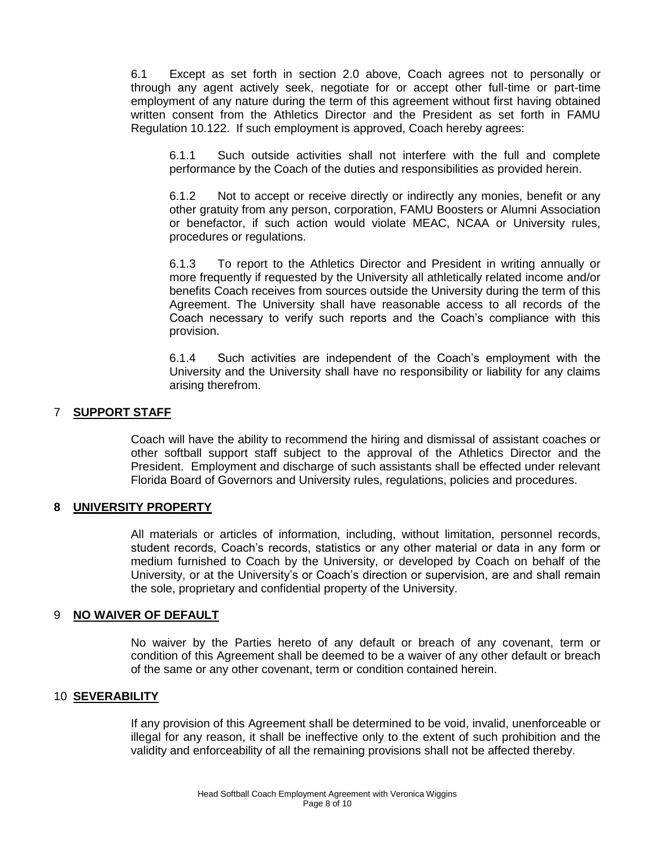6.1 Except as set forth in section 2.0 above, Coach agrees not to personally or through any agent actively seek, negotiate for or accept other full-time or part-time employment of any nature during the term of this agreement without first having obtained written consent from the Athletics Director and the President as set forth in FAMU Regulation 10.122. If such employment is approved, Coach hereby agrees:

6.1.1 Such outside activities shall not interfere with the full and complete performance by the Coach of the duties and responsibilities as provided herein.

6.1.2 Not to accept or receive directly or indirectly any monies, benefit or any other gratuity from any person, corporation, FAMU Boosters or Alumni Association or benefactor, if such action would violate MEAC, NCAA or University rules, procedures or regulations.

6.1.3 To report to the Athletics Director and President in writing annually or more frequently if requested by the University all athletically related income and/or benefits Coach receives from sources outside the University during the term of this Agreement. The University shall have reasonable access to all records of the Coach necessary to verify such reports and the Coach's compliance with this provision.

6.1.4 Such activities are independent of the Coach's employment with the University and the University shall have no responsibility or liability for any claims arising therefrom.

# 7 **SUPPORT STAFF**

Coach will have the ability to recommend the hiring and dismissal of assistant coaches or other softball support staff subject to the approval of the Athletics Director and the President. Employment and discharge of such assistants shall be effected under relevant Florida Board of Governors and University rules, regulations, policies and procedures.

#### **8 UNIVERSITY PROPERTY**

All materials or articles of information, including, without limitation, personnel records, student records, Coach's records, statistics or any other material or data in any form or medium furnished to Coach by the University, or developed by Coach on behalf of the University, or at the University's or Coach's direction or supervision, are and shall remain the sole, proprietary and confidential property of the University.

#### 9 **NO WAIVER OF DEFAULT**

No waiver by the Parties hereto of any default or breach of any covenant, term or condition of this Agreement shall be deemed to be a waiver of any other default or breach of the same or any other covenant, term or condition contained herein.

#### 10 **SEVERABILITY**

If any provision of this Agreement shall be determined to be void, invalid, unenforceable or illegal for any reason, it shall be ineffective only to the extent of such prohibition and the validity and enforceability of all the remaining provisions shall not be affected thereby.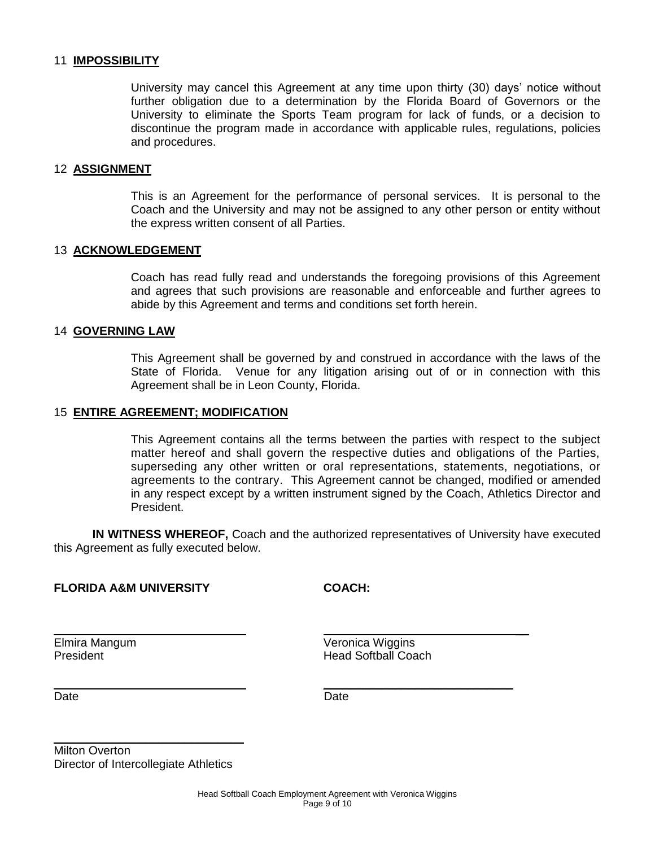#### 11 **IMPOSSIBILITY**

University may cancel this Agreement at any time upon thirty (30) days' notice without further obligation due to a determination by the Florida Board of Governors or the University to eliminate the Sports Team program for lack of funds, or a decision to discontinue the program made in accordance with applicable rules, regulations, policies and procedures.

#### 12 **ASSIGNMENT**

This is an Agreement for the performance of personal services. It is personal to the Coach and the University and may not be assigned to any other person or entity without the express written consent of all Parties.

#### 13 **ACKNOWLEDGEMENT**

Coach has read fully read and understands the foregoing provisions of this Agreement and agrees that such provisions are reasonable and enforceable and further agrees to abide by this Agreement and terms and conditions set forth herein.

#### 14 **GOVERNING LAW**

This Agreement shall be governed by and construed in accordance with the laws of the State of Florida. Venue for any litigation arising out of or in connection with this Agreement shall be in Leon County, Florida.

#### 15 **ENTIRE AGREEMENT; MODIFICATION**

This Agreement contains all the terms between the parties with respect to the subject matter hereof and shall govern the respective duties and obligations of the Parties, superseding any other written or oral representations, statements, negotiations, or agreements to the contrary. This Agreement cannot be changed, modified or amended in any respect except by a written instrument signed by the Coach, Athletics Director and President.

**IN WITNESS WHEREOF,** Coach and the authorized representatives of University have executed this Agreement as fully executed below.

#### **FLORIDA A&M UNIVERSITY COACH:**

Elmira Mangum Veronica Wiggins **President Head Softball Coach** 

\_\_\_\_\_\_\_\_\_\_\_\_\_\_\_\_\_\_\_\_\_\_\_\_\_\_\_\_\_

 $\overline{\phantom{a}}$ 

Date **Date Date Date Date Date** 

Milton Overton Director of Intercollegiate Athletics

\_\_\_\_\_\_\_\_\_\_\_\_\_\_\_\_\_\_\_\_\_\_\_\_\_\_\_\_\_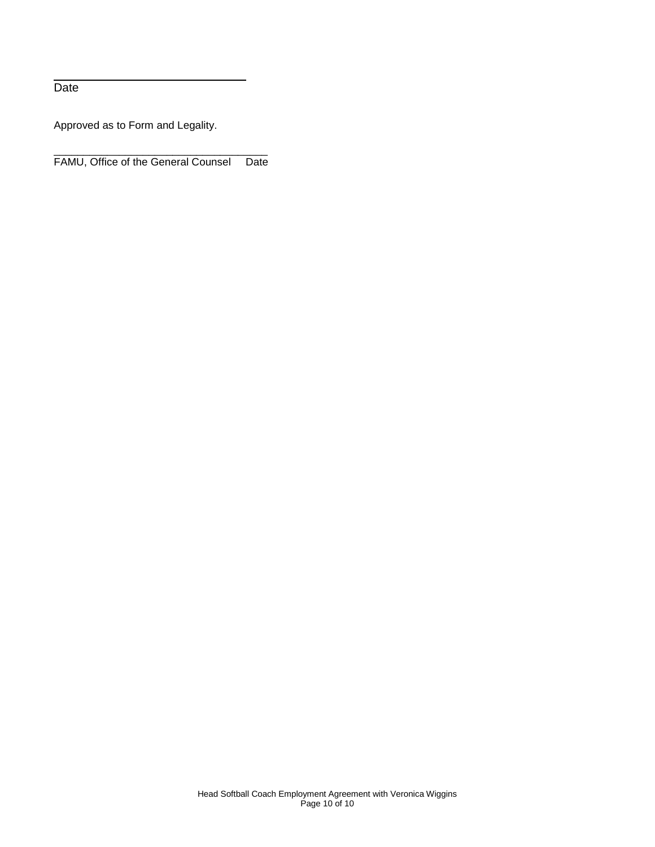Date

Approved as to Form and Legality.

\_\_\_\_\_\_\_\_\_\_\_\_\_\_\_\_\_\_\_\_\_\_\_\_\_\_\_\_\_\_\_\_\_\_\_\_ FAMU, Office of the General Counsel Date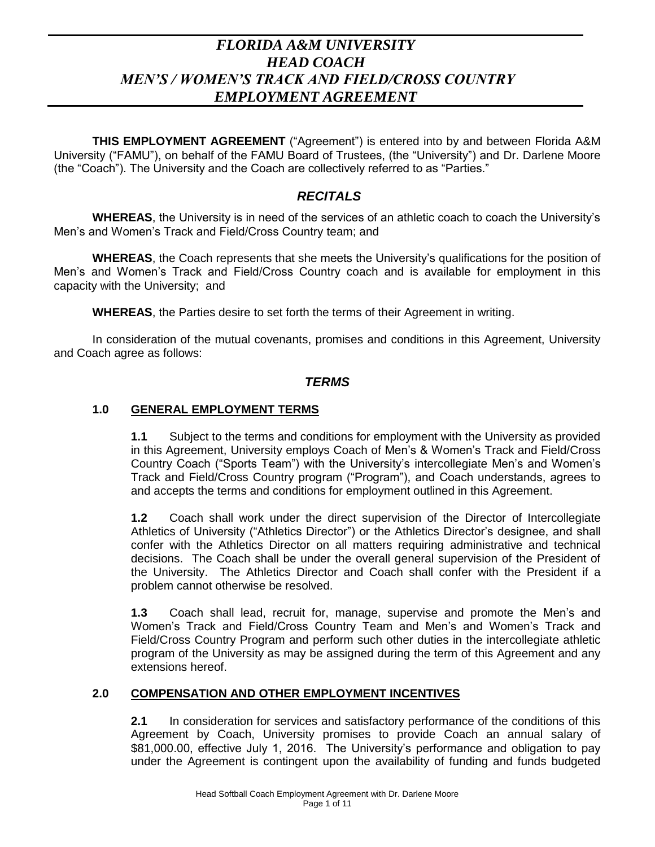# *FLORIDA A&M UNIVERSITY HEAD COACH MEN'S / WOMEN'S TRACK AND FIELD/CROSS COUNTRY EMPLOYMENT AGREEMENT*

**THIS EMPLOYMENT AGREEMENT** ("Agreement") is entered into by and between Florida A&M University ("FAMU"), on behalf of the FAMU Board of Trustees, (the "University") and Dr. Darlene Moore (the "Coach"). The University and the Coach are collectively referred to as "Parties."

# *RECITALS*

**WHEREAS**, the University is in need of the services of an athletic coach to coach the University's Men's and Women's Track and Field/Cross Country team; and

**WHEREAS**, the Coach represents that she meets the University's qualifications for the position of Men's and Women's Track and Field/Cross Country coach and is available for employment in this capacity with the University; and

**WHEREAS**, the Parties desire to set forth the terms of their Agreement in writing.

In consideration of the mutual covenants, promises and conditions in this Agreement, University and Coach agree as follows:

# *TERMS*

# **1.0 GENERAL EMPLOYMENT TERMS**

**1.1** Subject to the terms and conditions for employment with the University as provided in this Agreement, University employs Coach of Men's & Women's Track and Field/Cross Country Coach ("Sports Team") with the University's intercollegiate Men's and Women's Track and Field/Cross Country program ("Program"), and Coach understands, agrees to and accepts the terms and conditions for employment outlined in this Agreement.

**1.2** Coach shall work under the direct supervision of the Director of Intercollegiate Athletics of University ("Athletics Director") or the Athletics Director's designee, and shall confer with the Athletics Director on all matters requiring administrative and technical decisions. The Coach shall be under the overall general supervision of the President of the University. The Athletics Director and Coach shall confer with the President if a problem cannot otherwise be resolved.

**1.3** Coach shall lead, recruit for, manage, supervise and promote the Men's and Women's Track and Field/Cross Country Team and Men's and Women's Track and Field/Cross Country Program and perform such other duties in the intercollegiate athletic program of the University as may be assigned during the term of this Agreement and any extensions hereof.

# **2.0 COMPENSATION AND OTHER EMPLOYMENT INCENTIVES**

**2.1** In consideration for services and satisfactory performance of the conditions of this Agreement by Coach, University promises to provide Coach an annual salary of \$81,000.00, effective July 1, 2016. The University's performance and obligation to pay under the Agreement is contingent upon the availability of funding and funds budgeted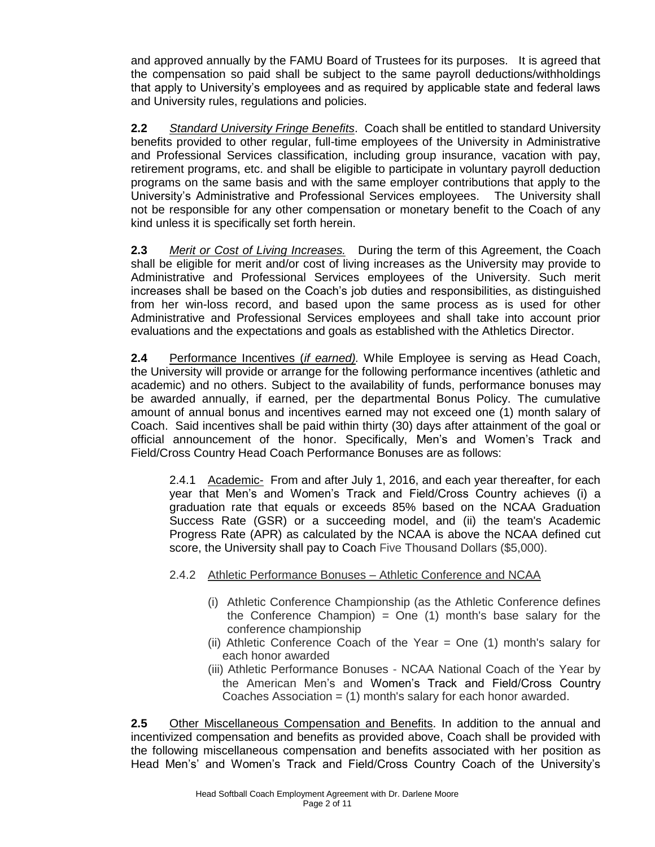and approved annually by the FAMU Board of Trustees for its purposes. It is agreed that the compensation so paid shall be subject to the same payroll deductions/withholdings that apply to University's employees and as required by applicable state and federal laws and University rules, regulations and policies.

**2.2** *Standard University Fringe Benefits*. Coach shall be entitled to standard University benefits provided to other regular, full-time employees of the University in Administrative and Professional Services classification, including group insurance, vacation with pay, retirement programs, etc. and shall be eligible to participate in voluntary payroll deduction programs on the same basis and with the same employer contributions that apply to the University's Administrative and Professional Services employees. The University shall not be responsible for any other compensation or monetary benefit to the Coach of any kind unless it is specifically set forth herein.

**2.3** *Merit or Cost of Living Increases.* During the term of this Agreement, the Coach shall be eligible for merit and/or cost of living increases as the University may provide to Administrative and Professional Services employees of the University. Such merit increases shall be based on the Coach's job duties and responsibilities, as distinguished from her win-loss record, and based upon the same process as is used for other Administrative and Professional Services employees and shall take into account prior evaluations and the expectations and goals as established with the Athletics Director.

**2.4** Performance Incentives (*if earned).* While Employee is serving as Head Coach, the University will provide or arrange for the following performance incentives (athletic and academic) and no others. Subject to the availability of funds, performance bonuses may be awarded annually, if earned, per the departmental Bonus Policy. The cumulative amount of annual bonus and incentives earned may not exceed one (1) month salary of Coach. Said incentives shall be paid within thirty (30) days after attainment of the goal or official announcement of the honor. Specifically, Men's and Women's Track and Field/Cross Country Head Coach Performance Bonuses are as follows:

2.4.1 Academic- From and after July 1, 2016, and each year thereafter, for each year that Men's and Women's Track and Field/Cross Country achieves (i) a graduation rate that equals or exceeds 85% based on the NCAA Graduation Success Rate (GSR) or a succeeding model, and (ii) the team's Academic Progress Rate (APR) as calculated by the NCAA is above the NCAA defined cut score, the University shall pay to Coach Five Thousand Dollars (\$5,000).

# 2.4.2 Athletic Performance Bonuses – Athletic Conference and NCAA

- (i) Athletic Conference Championship (as the Athletic Conference defines the Conference Champion) = One  $(1)$  month's base salary for the conference championship
- (ii) Athletic Conference Coach of the Year = One (1) month's salary for each honor awarded
- (iii) Athletic Performance Bonuses NCAA National Coach of the Year by the American Men's and Women's Track and Field/Cross Country Coaches Association  $=$  (1) month's salary for each honor awarded.

**2.5** Other Miscellaneous Compensation and Benefits. In addition to the annual and incentivized compensation and benefits as provided above, Coach shall be provided with the following miscellaneous compensation and benefits associated with her position as Head Men's' and Women's Track and Field/Cross Country Coach of the University's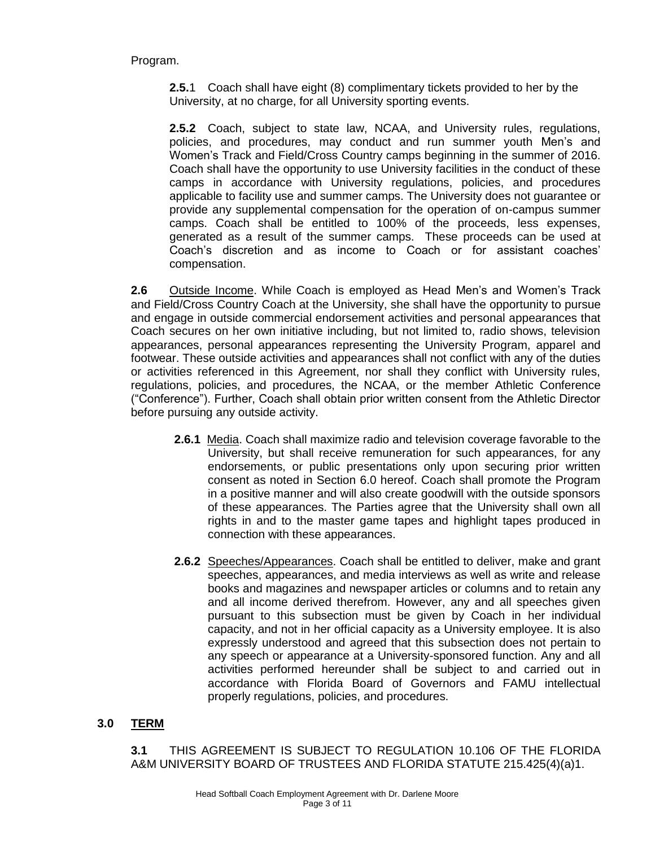Program.

**2.5.**1 Coach shall have eight (8) complimentary tickets provided to her by the University, at no charge, for all University sporting events.

**2.5.2** Coach, subject to state law, NCAA, and University rules, regulations, policies, and procedures, may conduct and run summer youth Men's and Women's Track and Field/Cross Country camps beginning in the summer of 2016. Coach shall have the opportunity to use University facilities in the conduct of these camps in accordance with University regulations, policies, and procedures applicable to facility use and summer camps. The University does not guarantee or provide any supplemental compensation for the operation of on-campus summer camps. Coach shall be entitled to 100% of the proceeds, less expenses, generated as a result of the summer camps. These proceeds can be used at Coach's discretion and as income to Coach or for assistant coaches' compensation.

**2.6** Outside Income. While Coach is employed as Head Men's and Women's Track and Field/Cross Country Coach at the University, she shall have the opportunity to pursue and engage in outside commercial endorsement activities and personal appearances that Coach secures on her own initiative including, but not limited to, radio shows, television appearances, personal appearances representing the University Program, apparel and footwear. These outside activities and appearances shall not conflict with any of the duties or activities referenced in this Agreement, nor shall they conflict with University rules, regulations, policies, and procedures, the NCAA, or the member Athletic Conference ("Conference"). Further, Coach shall obtain prior written consent from the Athletic Director before pursuing any outside activity.

- **2.6.1** Media. Coach shall maximize radio and television coverage favorable to the University, but shall receive remuneration for such appearances, for any endorsements, or public presentations only upon securing prior written consent as noted in Section 6.0 hereof. Coach shall promote the Program in a positive manner and will also create goodwill with the outside sponsors of these appearances. The Parties agree that the University shall own all rights in and to the master game tapes and highlight tapes produced in connection with these appearances.
- **2.6.2** Speeches/Appearances. Coach shall be entitled to deliver, make and grant speeches, appearances, and media interviews as well as write and release books and magazines and newspaper articles or columns and to retain any and all income derived therefrom. However, any and all speeches given pursuant to this subsection must be given by Coach in her individual capacity, and not in her official capacity as a University employee. It is also expressly understood and agreed that this subsection does not pertain to any speech or appearance at a University-sponsored function. Any and all activities performed hereunder shall be subject to and carried out in accordance with Florida Board of Governors and FAMU intellectual properly regulations, policies, and procedures.

# **3.0 TERM**

**3.1** THIS AGREEMENT IS SUBJECT TO REGULATION 10.106 OF THE FLORIDA A&M UNIVERSITY BOARD OF TRUSTEES AND FLORIDA STATUTE 215.425(4)(a)1.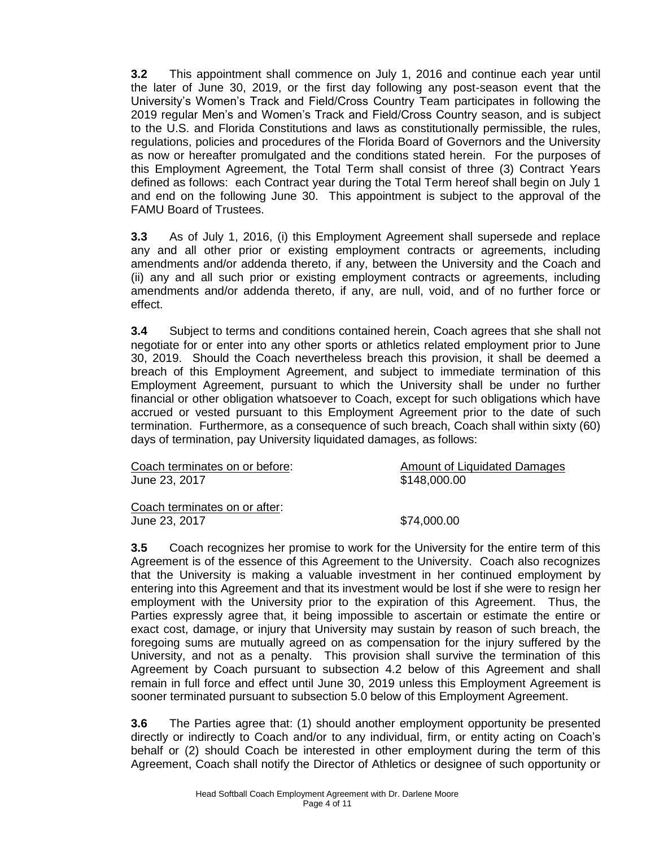**3.2** This appointment shall commence on July 1, 2016 and continue each year until the later of June 30, 2019, or the first day following any post-season event that the University's Women's Track and Field/Cross Country Team participates in following the 2019 regular Men's and Women's Track and Field/Cross Country season, and is subject to the U.S. and Florida Constitutions and laws as constitutionally permissible, the rules, regulations, policies and procedures of the Florida Board of Governors and the University as now or hereafter promulgated and the conditions stated herein. For the purposes of this Employment Agreement, the Total Term shall consist of three (3) Contract Years defined as follows: each Contract year during the Total Term hereof shall begin on July 1 and end on the following June 30. This appointment is subject to the approval of the FAMU Board of Trustees.

**3.3** As of July 1, 2016, (i) this Employment Agreement shall supersede and replace any and all other prior or existing employment contracts or agreements, including amendments and/or addenda thereto, if any, between the University and the Coach and (ii) any and all such prior or existing employment contracts or agreements, including amendments and/or addenda thereto, if any, are null, void, and of no further force or effect.

**3.4** Subject to terms and conditions contained herein, Coach agrees that she shall not negotiate for or enter into any other sports or athletics related employment prior to June 30, 2019. Should the Coach nevertheless breach this provision, it shall be deemed a breach of this Employment Agreement, and subject to immediate termination of this Employment Agreement, pursuant to which the University shall be under no further financial or other obligation whatsoever to Coach, except for such obligations which have accrued or vested pursuant to this Employment Agreement prior to the date of such termination. Furthermore, as a consequence of such breach, Coach shall within sixty (60) days of termination, pay University liquidated damages, as follows:

| Coach terminates on or before: | Amount of Liquidated Damages |
|--------------------------------|------------------------------|
| June 23, 2017                  | \$148,000.00                 |
| Coach terminates on or after:  |                              |

June 23, 2017 \$74,000.00

**3.5** Coach recognizes her promise to work for the University for the entire term of this Agreement is of the essence of this Agreement to the University. Coach also recognizes that the University is making a valuable investment in her continued employment by entering into this Agreement and that its investment would be lost if she were to resign her employment with the University prior to the expiration of this Agreement. Thus, the Parties expressly agree that, it being impossible to ascertain or estimate the entire or exact cost, damage, or injury that University may sustain by reason of such breach, the foregoing sums are mutually agreed on as compensation for the injury suffered by the University, and not as a penalty. This provision shall survive the termination of this Agreement by Coach pursuant to subsection 4.2 below of this Agreement and shall remain in full force and effect until June 30, 2019 unless this Employment Agreement is sooner terminated pursuant to subsection 5.0 below of this Employment Agreement.

**3.6** The Parties agree that: (1) should another employment opportunity be presented directly or indirectly to Coach and/or to any individual, firm, or entity acting on Coach's behalf or (2) should Coach be interested in other employment during the term of this Agreement, Coach shall notify the Director of Athletics or designee of such opportunity or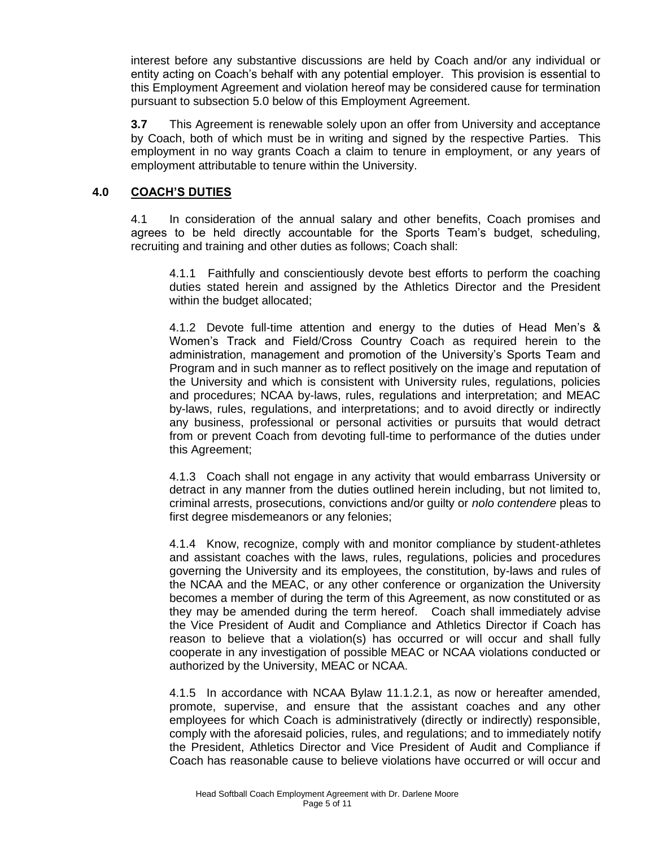interest before any substantive discussions are held by Coach and/or any individual or entity acting on Coach's behalf with any potential employer. This provision is essential to this Employment Agreement and violation hereof may be considered cause for termination pursuant to subsection 5.0 below of this Employment Agreement.

**3.7** This Agreement is renewable solely upon an offer from University and acceptance by Coach, both of which must be in writing and signed by the respective Parties. This employment in no way grants Coach a claim to tenure in employment, or any years of employment attributable to tenure within the University.

#### **4.0 COACH'S DUTIES**

4.1 In consideration of the annual salary and other benefits, Coach promises and agrees to be held directly accountable for the Sports Team's budget, scheduling, recruiting and training and other duties as follows; Coach shall:

4.1.1 Faithfully and conscientiously devote best efforts to perform the coaching duties stated herein and assigned by the Athletics Director and the President within the budget allocated;

4.1.2 Devote full-time attention and energy to the duties of Head Men's & Women's Track and Field/Cross Country Coach as required herein to the administration, management and promotion of the University's Sports Team and Program and in such manner as to reflect positively on the image and reputation of the University and which is consistent with University rules, regulations, policies and procedures; NCAA by-laws, rules, regulations and interpretation; and MEAC by-laws, rules, regulations, and interpretations; and to avoid directly or indirectly any business, professional or personal activities or pursuits that would detract from or prevent Coach from devoting full-time to performance of the duties under this Agreement;

4.1.3 Coach shall not engage in any activity that would embarrass University or detract in any manner from the duties outlined herein including, but not limited to, criminal arrests, prosecutions, convictions and/or guilty or *nolo contendere* pleas to first degree misdemeanors or any felonies;

4.1.4 Know, recognize, comply with and monitor compliance by student-athletes and assistant coaches with the laws, rules, regulations, policies and procedures governing the University and its employees, the constitution, by-laws and rules of the NCAA and the MEAC, or any other conference or organization the University becomes a member of during the term of this Agreement, as now constituted or as they may be amended during the term hereof. Coach shall immediately advise the Vice President of Audit and Compliance and Athletics Director if Coach has reason to believe that a violation(s) has occurred or will occur and shall fully cooperate in any investigation of possible MEAC or NCAA violations conducted or authorized by the University, MEAC or NCAA.

4.1.5 In accordance with NCAA Bylaw 11.1.2.1, as now or hereafter amended, promote, supervise, and ensure that the assistant coaches and any other employees for which Coach is administratively (directly or indirectly) responsible, comply with the aforesaid policies, rules, and regulations; and to immediately notify the President, Athletics Director and Vice President of Audit and Compliance if Coach has reasonable cause to believe violations have occurred or will occur and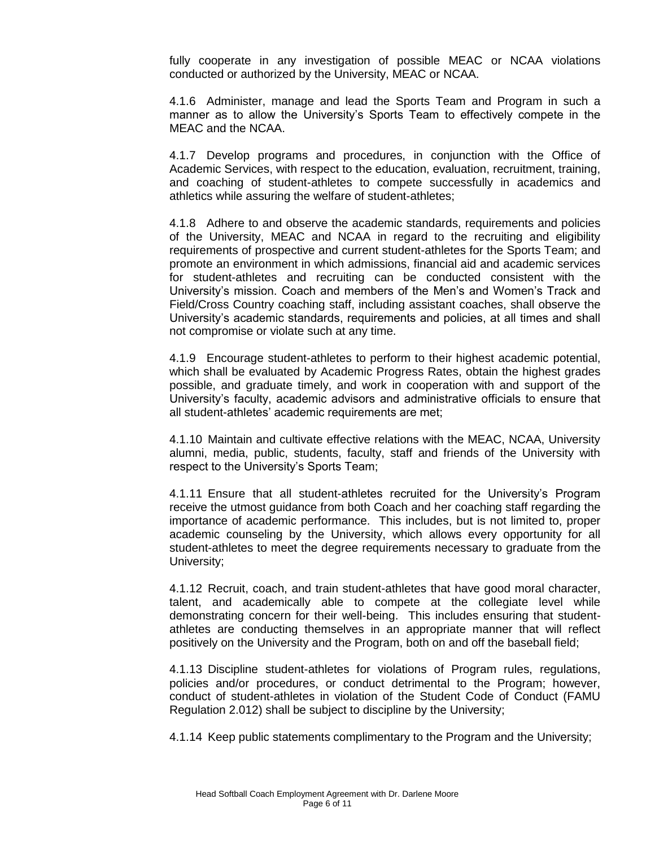fully cooperate in any investigation of possible MEAC or NCAA violations conducted or authorized by the University, MEAC or NCAA.

4.1.6 Administer, manage and lead the Sports Team and Program in such a manner as to allow the University's Sports Team to effectively compete in the MEAC and the NCAA.

4.1.7 Develop programs and procedures, in conjunction with the Office of Academic Services, with respect to the education, evaluation, recruitment, training, and coaching of student-athletes to compete successfully in academics and athletics while assuring the welfare of student-athletes;

4.1.8 Adhere to and observe the academic standards, requirements and policies of the University, MEAC and NCAA in regard to the recruiting and eligibility requirements of prospective and current student-athletes for the Sports Team; and promote an environment in which admissions, financial aid and academic services for student-athletes and recruiting can be conducted consistent with the University's mission. Coach and members of the Men's and Women's Track and Field/Cross Country coaching staff, including assistant coaches, shall observe the University's academic standards, requirements and policies, at all times and shall not compromise or violate such at any time.

4.1.9 Encourage student-athletes to perform to their highest academic potential, which shall be evaluated by Academic Progress Rates, obtain the highest grades possible, and graduate timely, and work in cooperation with and support of the University's faculty, academic advisors and administrative officials to ensure that all student-athletes' academic requirements are met;

4.1.10 Maintain and cultivate effective relations with the MEAC, NCAA, University alumni, media, public, students, faculty, staff and friends of the University with respect to the University's Sports Team;

4.1.11 Ensure that all student-athletes recruited for the University's Program receive the utmost guidance from both Coach and her coaching staff regarding the importance of academic performance. This includes, but is not limited to, proper academic counseling by the University, which allows every opportunity for all student-athletes to meet the degree requirements necessary to graduate from the University;

4.1.12 Recruit, coach, and train student-athletes that have good moral character, talent, and academically able to compete at the collegiate level while demonstrating concern for their well-being. This includes ensuring that studentathletes are conducting themselves in an appropriate manner that will reflect positively on the University and the Program, both on and off the baseball field;

4.1.13 Discipline student-athletes for violations of Program rules, regulations, policies and/or procedures, or conduct detrimental to the Program; however, conduct of student-athletes in violation of the Student Code of Conduct (FAMU Regulation 2.012) shall be subject to discipline by the University;

4.1.14 Keep public statements complimentary to the Program and the University;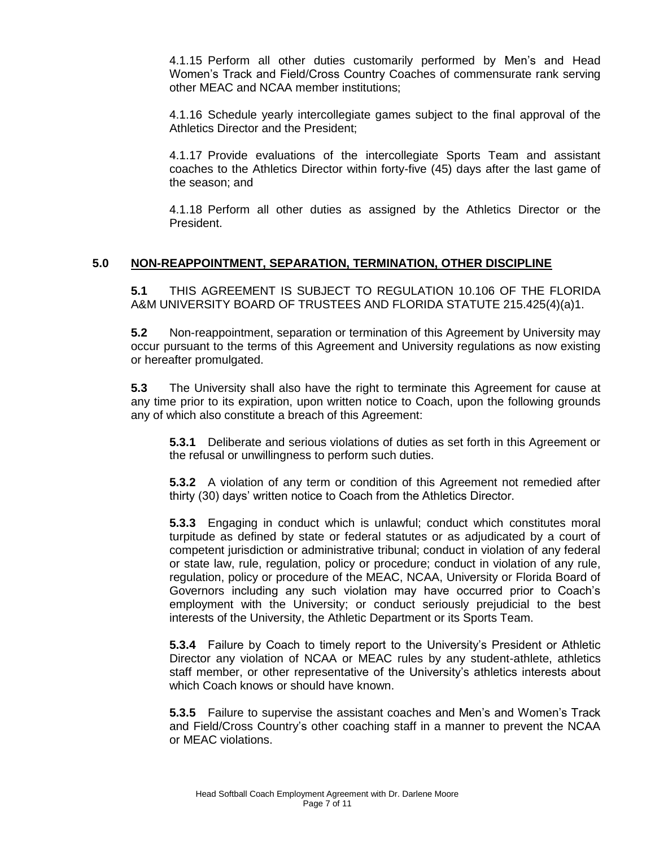4.1.15 Perform all other duties customarily performed by Men's and Head Women's Track and Field/Cross Country Coaches of commensurate rank serving other MEAC and NCAA member institutions;

4.1.16 Schedule yearly intercollegiate games subject to the final approval of the Athletics Director and the President;

4.1.17 Provide evaluations of the intercollegiate Sports Team and assistant coaches to the Athletics Director within forty-five (45) days after the last game of the season; and

4.1.18 Perform all other duties as assigned by the Athletics Director or the President.

# **5.0 NON-REAPPOINTMENT, SEPARATION, TERMINATION, OTHER DISCIPLINE**

**5.1** THIS AGREEMENT IS SUBJECT TO REGULATION 10.106 OF THE FLORIDA A&M UNIVERSITY BOARD OF TRUSTEES AND FLORIDA STATUTE 215.425(4)(a)1.

**5.2** Non-reappointment, separation or termination of this Agreement by University may occur pursuant to the terms of this Agreement and University regulations as now existing or hereafter promulgated.

**5.3** The University shall also have the right to terminate this Agreement for cause at any time prior to its expiration, upon written notice to Coach, upon the following grounds any of which also constitute a breach of this Agreement:

**5.3.1** Deliberate and serious violations of duties as set forth in this Agreement or the refusal or unwillingness to perform such duties.

**5.3.2** A violation of any term or condition of this Agreement not remedied after thirty (30) days' written notice to Coach from the Athletics Director.

**5.3.3** Engaging in conduct which is unlawful; conduct which constitutes moral turpitude as defined by state or federal statutes or as adjudicated by a court of competent jurisdiction or administrative tribunal; conduct in violation of any federal or state law, rule, regulation, policy or procedure; conduct in violation of any rule, regulation, policy or procedure of the MEAC, NCAA, University or Florida Board of Governors including any such violation may have occurred prior to Coach's employment with the University; or conduct seriously prejudicial to the best interests of the University, the Athletic Department or its Sports Team.

**5.3.4** Failure by Coach to timely report to the University's President or Athletic Director any violation of NCAA or MEAC rules by any student-athlete, athletics staff member, or other representative of the University's athletics interests about which Coach knows or should have known.

**5.3.5** Failure to supervise the assistant coaches and Men's and Women's Track and Field/Cross Country's other coaching staff in a manner to prevent the NCAA or MEAC violations.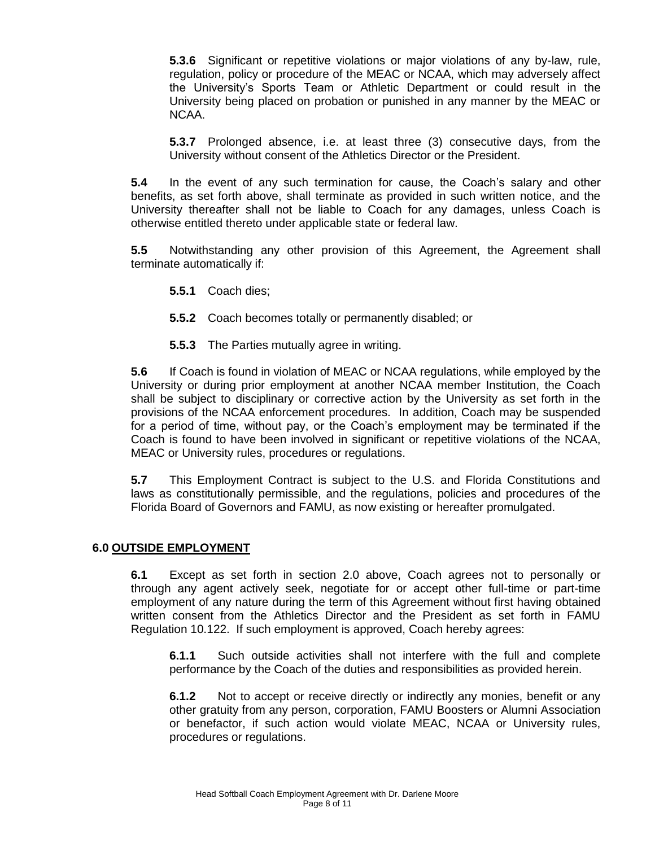**5.3.6** Significant or repetitive violations or major violations of any by-law, rule, regulation, policy or procedure of the MEAC or NCAA, which may adversely affect the University's Sports Team or Athletic Department or could result in the University being placed on probation or punished in any manner by the MEAC or NCAA.

**5.3.7** Prolonged absence, i.e. at least three (3) consecutive days, from the University without consent of the Athletics Director or the President.

**5.4** In the event of any such termination for cause, the Coach's salary and other benefits, as set forth above, shall terminate as provided in such written notice, and the University thereafter shall not be liable to Coach for any damages, unless Coach is otherwise entitled thereto under applicable state or federal law.

**5.5** Notwithstanding any other provision of this Agreement, the Agreement shall terminate automatically if:

- **5.5.1** Coach dies;
- **5.5.2** Coach becomes totally or permanently disabled; or
- **5.5.3** The Parties mutually agree in writing.

**5.6** If Coach is found in violation of MEAC or NCAA regulations, while employed by the University or during prior employment at another NCAA member Institution, the Coach shall be subject to disciplinary or corrective action by the University as set forth in the provisions of the NCAA enforcement procedures. In addition, Coach may be suspended for a period of time, without pay, or the Coach's employment may be terminated if the Coach is found to have been involved in significant or repetitive violations of the NCAA, MEAC or University rules, procedures or regulations.

**5.7** This Employment Contract is subject to the U.S. and Florida Constitutions and laws as constitutionally permissible, and the regulations, policies and procedures of the Florida Board of Governors and FAMU, as now existing or hereafter promulgated.

#### **6.0 OUTSIDE EMPLOYMENT**

**6.1** Except as set forth in section 2.0 above, Coach agrees not to personally or through any agent actively seek, negotiate for or accept other full-time or part-time employment of any nature during the term of this Agreement without first having obtained written consent from the Athletics Director and the President as set forth in FAMU Regulation 10.122. If such employment is approved, Coach hereby agrees:

**6.1.1** Such outside activities shall not interfere with the full and complete performance by the Coach of the duties and responsibilities as provided herein.

**6.1.2** Not to accept or receive directly or indirectly any monies, benefit or any other gratuity from any person, corporation, FAMU Boosters or Alumni Association or benefactor, if such action would violate MEAC, NCAA or University rules, procedures or regulations.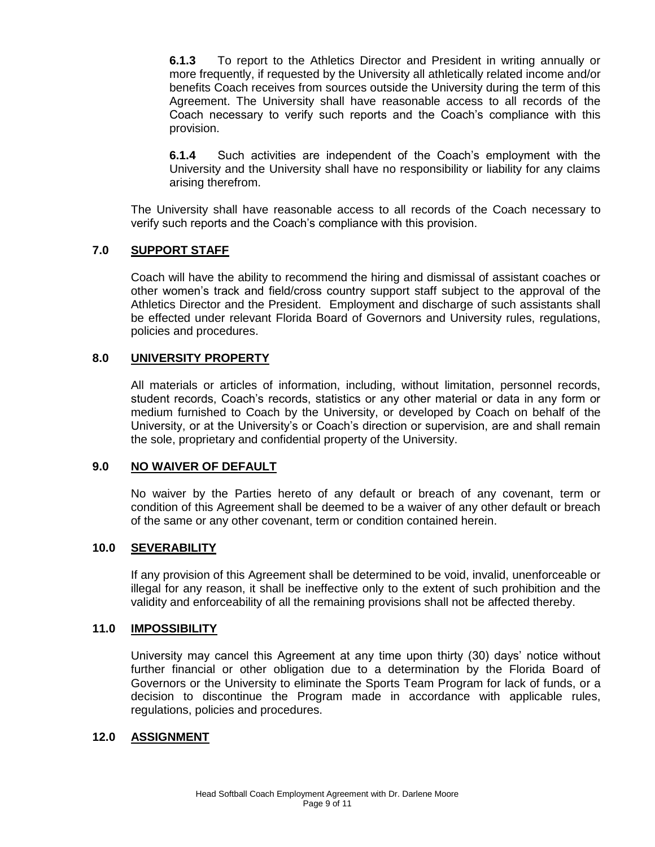**6.1.3** To report to the Athletics Director and President in writing annually or more frequently, if requested by the University all athletically related income and/or benefits Coach receives from sources outside the University during the term of this Agreement. The University shall have reasonable access to all records of the Coach necessary to verify such reports and the Coach's compliance with this provision.

**6.1.4** Such activities are independent of the Coach's employment with the University and the University shall have no responsibility or liability for any claims arising therefrom.

The University shall have reasonable access to all records of the Coach necessary to verify such reports and the Coach's compliance with this provision.

# **7.0 SUPPORT STAFF**

Coach will have the ability to recommend the hiring and dismissal of assistant coaches or other women's track and field/cross country support staff subject to the approval of the Athletics Director and the President. Employment and discharge of such assistants shall be effected under relevant Florida Board of Governors and University rules, regulations, policies and procedures.

#### **8.0 UNIVERSITY PROPERTY**

All materials or articles of information, including, without limitation, personnel records, student records, Coach's records, statistics or any other material or data in any form or medium furnished to Coach by the University, or developed by Coach on behalf of the University, or at the University's or Coach's direction or supervision, are and shall remain the sole, proprietary and confidential property of the University.

#### **9.0 NO WAIVER OF DEFAULT**

No waiver by the Parties hereto of any default or breach of any covenant, term or condition of this Agreement shall be deemed to be a waiver of any other default or breach of the same or any other covenant, term or condition contained herein.

#### **10.0 SEVERABILITY**

If any provision of this Agreement shall be determined to be void, invalid, unenforceable or illegal for any reason, it shall be ineffective only to the extent of such prohibition and the validity and enforceability of all the remaining provisions shall not be affected thereby.

#### **11.0 IMPOSSIBILITY**

University may cancel this Agreement at any time upon thirty (30) days' notice without further financial or other obligation due to a determination by the Florida Board of Governors or the University to eliminate the Sports Team Program for lack of funds, or a decision to discontinue the Program made in accordance with applicable rules, regulations, policies and procedures.

#### **12.0 ASSIGNMENT**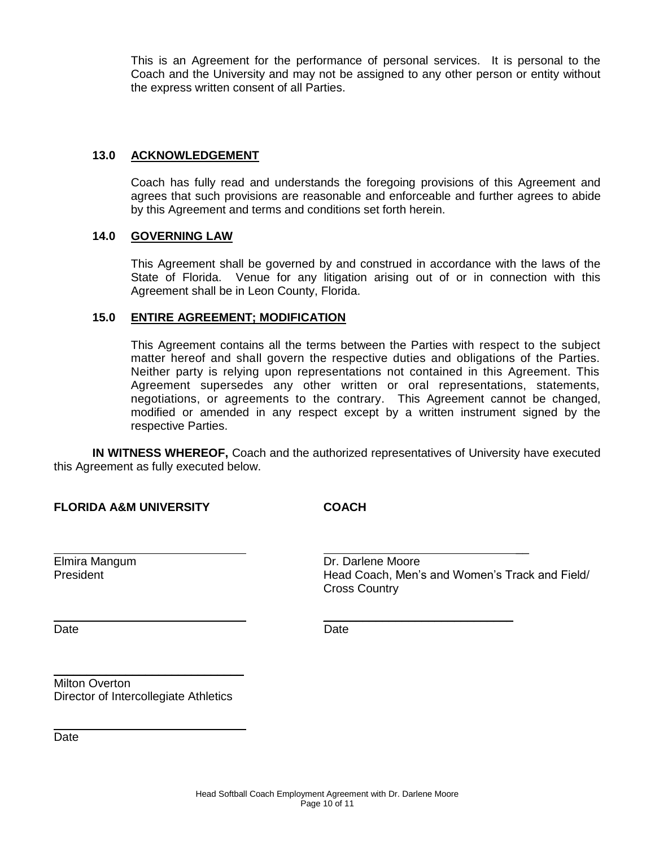This is an Agreement for the performance of personal services. It is personal to the Coach and the University and may not be assigned to any other person or entity without the express written consent of all Parties.

#### **13.0 ACKNOWLEDGEMENT**

Coach has fully read and understands the foregoing provisions of this Agreement and agrees that such provisions are reasonable and enforceable and further agrees to abide by this Agreement and terms and conditions set forth herein.

#### **14.0 GOVERNING LAW**

This Agreement shall be governed by and construed in accordance with the laws of the State of Florida. Venue for any litigation arising out of or in connection with this Agreement shall be in Leon County, Florida.

#### **15.0 ENTIRE AGREEMENT; MODIFICATION**

This Agreement contains all the terms between the Parties with respect to the subject matter hereof and shall govern the respective duties and obligations of the Parties. Neither party is relying upon representations not contained in this Agreement. This Agreement supersedes any other written or oral representations, statements, negotiations, or agreements to the contrary. This Agreement cannot be changed, modified or amended in any respect except by a written instrument signed by the respective Parties.

**IN WITNESS WHEREOF,** Coach and the authorized representatives of University have executed this Agreement as fully executed below.

# **FLORIDA A&M UNIVERSITY COACH**

Elmira Mangum **Dr. Darlene Moore** President **Head Coach, Men's and Women's Track and Field/** Fresident Cross Country

 $\overline{\phantom{a}}$ 

Date **Date Date Date Date Date** 

 $\overline{\phantom{a}}$  , which is a set of the set of the set of the set of the set of the set of the set of the set of the set of the set of the set of the set of the set of the set of the set of the set of the set of the set of th

Milton Overton Director of Intercollegiate Athletics

 $\mathcal{L}_\text{max}$  and  $\mathcal{L}_\text{max}$  and  $\mathcal{L}_\text{max}$  and  $\mathcal{L}_\text{max}$ 

Date